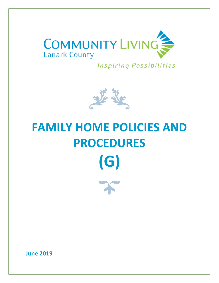

**Inspiring Possibilities** 



# **FAMILY HOME POLICIES AND PROCEDURES (G)**

**June 2019**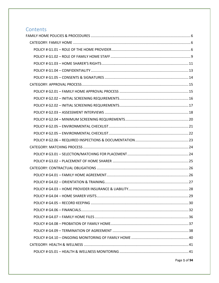# Contents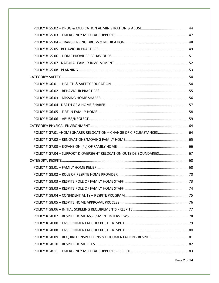| POLICY # G7.01 -HOME SHARER RELOCATION - CHANGE OF CIRCUMSTANCES 64   |  |
|-----------------------------------------------------------------------|--|
|                                                                       |  |
|                                                                       |  |
| POLICY # G7.04 - SUPPORT & OVERSIGHT RELOCATION OUTSIDE BOUNDARIES 67 |  |
|                                                                       |  |
|                                                                       |  |
|                                                                       |  |
|                                                                       |  |
|                                                                       |  |
|                                                                       |  |
|                                                                       |  |
|                                                                       |  |
|                                                                       |  |
|                                                                       |  |
|                                                                       |  |
|                                                                       |  |
|                                                                       |  |
|                                                                       |  |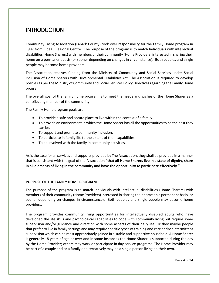# **INTRODUCTION**

Community Living Association (Lanark County) took over responsibility for the Family Home program in 1987 from Rideau Regional Centre. The purpose of the program is to match Individuals with intellectual disabilities (Home Sharers) with members of their community (Home Providers) interested in sharing their home on a permanent basis (or sooner depending on changes in circumstance). Both couples and single people may become home providers.

The Association receives funding from the Ministry of Community and Social Services under Social Inclusion of Home Sharers with Developmental Disabilities Act. The Association is required to develop policies as per the Ministry of Community and Social Services Policy Directives regarding the Family Home program.

The overall goal of the family home program is to meet the needs and wishes of the Home Sharer as a contributing member of the community.

The Family Home program goals are:

- To provide a safe and secure place to live within the context of a family.
- To provide an environment in which the Home Sharer has all the opportunities to be the best they can be.
- To support and promote community inclusion.
- To participate in family life to the extent of their capabilities.
- To be involved with the family in community activities.

As is the case for all services and supports provided by The Association, they shall be provided in a manner that is consistent with the goal of the Association **"that all Home Sharers live in a state of dignity, share in all elements of living in the community and have the opportunity to participate effectively."**

#### **PURPOSE OF THE FAMILY HOME PROGRAM**

The purpose of the program is to match Individuals with intellectual disabilities (Home Sharers) with members of their community (Home Providers) interested in sharing their home on a permanent basis (or sooner depending on changes in circumstance). Both couples and single people may become home providers.

The program provides community living opportunities for intellectually disabled adults who have developed the life skills and psychological capabilities to cope with community living but require some supervision and/or guidance and direction with some aspects of their daily life. Or they maybe people that prefer to live in family settings and may require specific types of training and care and/or intermittent supervision which can be most appropriately gained in a stable and supportive household. A Home Sharer is generally 18 years of age or over and in some instances the Home Sharer is supported during the day by the Home Provider; others may work or participate in day service programs. The Home Provider may be part of a couple and or a family or alternatively may be a single person living on their own.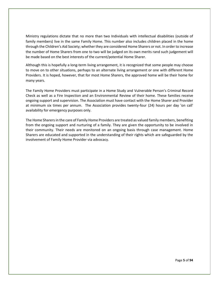Ministry regulations dictate that no more than two Individuals with intellectual disabilities (outside of family members) live in the same Family Home. This number also includes children placed in the home through the Children's Aid Society; whether they are considered Home Sharers or not. In order to increase the number of Home Sharers from one to two will be judged on its own merits rand such judgement will be made based on the best interests of the current/potential Home Sharer.

Although this is hopefully a long-term living arrangement, it is recognized that some people may choose to move on to other situations, perhaps to an alternate living arrangement or one with different Home Providers. It is hoped, however, that for most Home Sharers, the approved home will be their home for many years.

The Family Home Providers must participate in a Home Study and Vulnerable Person's Criminal Record Check as well as a Fire Inspection and an Environmental Review of their home. These families receive ongoing support and supervision. The Association must have contact with the Home Sharer and Provider at minimum six times per annum. The Association provides twenty-four (24) hours per day 'on call' availability for emergency purposes only.

The Home Sharersin the care of Family Home Providers are treated as valued family members, benefiting from the ongoing support and nurturing of a family. They are given the opportunity to be involved in their community. Their needs are monitored on an ongoing basis through case management. Home Sharers are educated and supported in the understanding of their rights which are safeguarded by the involvement of Family Home Provider via advocacy.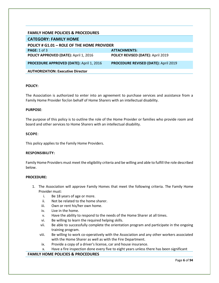#### <span id="page-6-0"></span>**FAMILY HOME POLICIES & PROCEDURES**

## <span id="page-6-1"></span>**CATEGORY: FAMILY HOME**

<span id="page-6-2"></span>

| POLICY # G1.01 - ROLE OF THE HOME PROVIDER      |                                             |
|-------------------------------------------------|---------------------------------------------|
| <b>PAGE:</b> 1 of 3                             | <b>ATTACHMENTS:</b>                         |
| POLICY APPROVED (DATE): April 1, 2016           | POLICY REVISED (DATE): April 2019           |
| <b>PROCEDURE APPROVED (DATE): April 1, 2016</b> | <b>PROCEDURE REVISED (DATE): April 2019</b> |
| <b>AUTHORIZATION: Executive Director</b>        |                                             |

#### **POLICY:**

The Association is authorized to enter into an agreement to purchase services and assistance from a Family Home Provider for/on behalf of Home Sharers with an intellectual disability.

#### **PURPOSE**:

The purpose of this policy is to outline the role of the Home Provider or families who provide room and board and other services to Home Sharers with an intellectual disability.

#### **SCOPE**:

This policy applies to the Family Home Providers.

#### **RESPONSIBILITY:**

Family Home Providers must meet the eligibility criteria and be willing and able to fulfill the role described below.

#### **PROCEDURE:**

- 1. The Association will approve Family Homes that meet the following criteria. The Family Home Provider must:
	- i. Be 18 years of age or more.
	- ii. Not be related to the home sharer.
	- iii. Own or rent his/her own home.
	- iv. Live in the home.
	- v. Have the ability to respond to the needs of the Home Sharer at all times.
	- vi. Be willing to learn the required helping skills.
	- vii. Be able to successfully complete the orientation program and participate in the ongoing training program.
	- viii. Be willing to work co-operatively with the Association and any other workers associated with the Home Sharer as well as with the Fire Department.
	- ix. Provide a copy of a driver's license, car and house insurance.
	- x. Have a fire inspection done every five to eight years unless there has been significant

#### **FAMILY HOME POLICIES & PROCEDURES**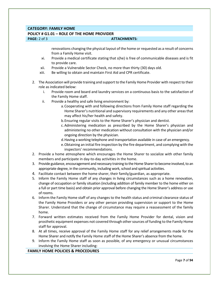#### **CATEGORY: FAMILY HOME**

#### **POLICY # G1.01 – ROLE OF THE HOME PROVIDER**

#### **PAGE:** 2 of 3 **ATTACHMENTS: ATTACHMENTS:**

renovations changing the physical layout of the home or requested as a result of concerns from a Family Home visit.

- xi. Provide a medical certificate stating that s(he) is free of communicable diseases and is fit to provide care.
- xii. Provide a Vulnerable Sector Check, no more than thirty (30) days old.
- xiii. Be willing to obtain and maintain First Aid and CPR certificate.
- 2. The Association will provide training and support to the Family Home Provider with respect to their role as indicated below:
	- i. Provide room and board and laundry services on a continuous basis to the satisfaction of the Family Home staff.
	- ii. Provide a healthy and safe living environment by:
		- a.Cooperating with and following directions from Family Home staff regarding the Home Sharer's nutritional and supervisory requirements and any other areas that may affect his/her health and safety.
		- b.Ensuring regular visits to the Home Sharer's physician and dentist.
		- c.Administering medication as prescribed by the Home Sharer's physician and administering no other medication without consultation with the physician and/or ongoing direction by the physician.
		- d.Having a working telephone and transportation available in case of an emergency.
		- e.Obtaining an initial fire inspection by the fire department, and complying with the inspectors' recommendations.
- 2. Provide a home atmosphere which encourages the Home Sharer to socialize with other family members and participate in day-to-day activities in the home.
- 3. Provide guidance, encouragement and necessary training to the Home Sharer to become involved, to an appropriate degree, in the community, including work, school and spiritual activities.
- 4. Facilitate contact between the home sharer, their family/guardian, as appropriate.
- 5. Inform the Family Home staff of any changes in living circumstances such as a home renovation, change of occupation or family situation (including addition of family member to the home either on a full or part time basis) and obtain prior approval before changing the Home Sharer's address or use of rooms.
- 6. Inform the Family Home staff of any changes to the health status and criminal clearance status of the Family Home Providers or any other person providing supervision or support to the Home Sharer. Understand that the change of circumstance may require a reassessment of the family home.
- 7. Forward written estimates received from the Family Home Provider for dental, vision and prosthetic equipment expenses not covered through other sources of funding to the Family Home staff for approval.
- 8. At all times, receive approval of the Family Home staff for any relief arrangements made for the Home Sharer and notify the Family Home staff of the Home Sharer's absence from the home.
- 9. Inform the Family Home staff as soon as possible, of any emergency or unusual circumstances involving the Home Sharer including:

#### **FAMILY HOME POLICIES & PROCEDURES**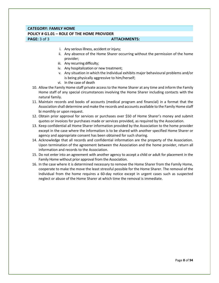#### **CATEGORY: FAMILY HOME**

#### **POLICY # G1.01 – ROLE OF THE HOME PROVIDER**

#### **PAGE:**  $3$  of  $3$  **ATTACHMENTS: ATTACHMENTS:**

- i. Any serious illness, accident or injury;
- ii. Any absence of the Home Sharer occurring without the permission of the home provider;
- iii. Any recurring difficulty;
- iv. Any hospitalization or new treatment;
- v. Any situation in which the Individual exhibits major behavioural problems and/or is being physically aggressive to him/herself;
- vi. In the case of death
- 10. Allow the Family Home staff private access to the Home Sharer at any time and inform the Family Home staff of any special circumstances involving the Home Sharer including contacts with the natural family.
- 11. Maintain records and books of accounts (medical program and financial) in a format that the Association shall determine and make the records and accounts available to the Family Home staff bi monthly or upon request.
- 12. Obtain prior approval for services or purchases over \$50 of Home Sharer's money and submit quotes or invoices for purchases made or services provided, as required by the Association.
- 13. Keep confidential all Home Sharer information provided by the Association to the home provider except in the case where the information is to be shared with another specified Home Sharer or agency and appropriate consent has been obtained for such sharing.
- 14. Acknowledge that all records and confidential information are the property of the Association. Upon termination of the agreement between the Association and the home provider, return all information and records to the Association.
- 15. Do not enter into an agreement with another agency to accept a child or adult for placement in the Family Home without prior approval from the Association.
- 16. In the case where it is determined necessary to remove the Home Sharer from the Family Home, cooperate to make the move the least stressful possible for the Home Sharer. The removal of the Individual from the home requires a 60-day notice except in urgent cases such as suspected neglect or abuse of the Home Sharer at which time the removal is immediate.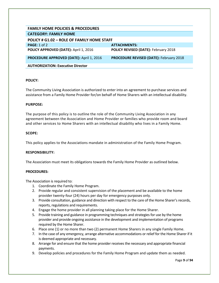<span id="page-9-0"></span>

| <b>FAMILY HOME POLICIES &amp; PROCEDURES</b>    |                                                |  |
|-------------------------------------------------|------------------------------------------------|--|
| <b>CATEGORY: FAMILY HOME</b>                    |                                                |  |
| POLICY # G1.02 - ROLE OF FAMILY HOME STAFF      |                                                |  |
| <b>PAGE:</b> 1 of 2                             | <b>ATTACHMENTS:</b>                            |  |
| POLICY APPROVED (DATE): April 1, 2016           | POLICY REVISED (DATE): February 2018           |  |
| <b>PROCEDURE APPROVED (DATE): April 1, 2016</b> | <b>PROCEDURE REVISED (DATE): February 2018</b> |  |
| <b>AUTHORIZATION: Executive Director</b>        |                                                |  |

The Community Living Association is authorized to enter into an agreement to purchase services and assistance from a Family Home Provider for/on behalf of Home Sharers with an intellectual disability.

#### **PURPOSE:**

The purpose of this policy is to outline the role of the Community Living Association in any agreement between the Association and Home Provider or families who provide room and board and other services to Home Sharers with an intellectual disability who lives in a Family Home.

#### **SCOPE:**

This policy applies to the Associations mandate in administration of the Family Home Program.

#### **RESPONSIBILITY:**

The Association must meet its obligations towards the Family Home Provider as outlined below.

#### **PROCEDURES:**

The Association is required to:

- 1. Coordinate the Family Home Program.
- 2. Provide regular and consistent supervision of the placement and be available to the home provider twenty-four (24) hours per day for emergency purposes only.
- 3. Provide consultation, guidance and direction with respect to the care of the Home Sharer's records, reports, regulations and requirements.
- 4. Engage the home provider in all planning taking place for the Home Sharer.
- 5. Provide training and guidance in programming techniques and strategies for use by the home provider and provide ongoing assistance in the development and implementation of programs required by the Home Sharer.
- 6. Place one (1) or no more than two (2) permanent Home Sharers in any single Family Home.
- 7. In the case of any emergency, arrange alternative accommodations or relief for the Home Sharer if it is deemed appropriate and necessary.
- 8. Arrange for and ensure that the home provider receives the necessary and appropriate financial payments.
- 9. Develop policies and procedures for the Family Home Program and update them as needed.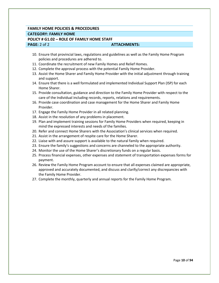### **FAMILY HOME POLICIES & PROCEDURES CATEGORY: FAMILY HOME POLICY # G1.02 – ROLE OF FAMILY HOME STAFF PAGE:** 2 of 2 **ATTACHMENTS:**

- 10. Ensure that provincial laws, regulations and guidelines as well as the Family Home Program policies and procedures are adhered to.
- 11. Coordinate the recruitment of new Family Homes and Relief Homes.
- 12. Complete the approval process with the potential Family Home Provider.
- 13. Assist the Home Sharer and Family Home Provider with the initial adjustment through training and support.
- 14. Ensure that there is a well formulated and implemented Individual Support Plan (ISP) for each Home Sharer.
- 15. Provide consultation, guidance and direction to the Family Home Provider with respect to the care of the Individual including records, reports, relations and requirements.
- 16. Provide case coordination and case management for the Home Sharer and Family Home Provider.
- 17. Engage the Family Home Provider in all related planning.
- 18. Assist in the resolution of any problems in placement.
- 19. Plan and implement training sessions for Family Home Providers when required, keeping in mind the expressed interests and needs of the families.
- 20. Refer and connect Home Sharers with the Association's clinical services when required.
- 21. Assist in the arrangement of respite care for the Home Sharer.
- 22. Liaise with and assure support is available to the natural family when required.
- 23. Ensure the family's suggestions and concerns are channeled to the appropriate authority.
- 24. Monitor the use of the Home Sharer's discretionary funds on a regular basis.
- 25. Process financial expenses, other expenses and statement of transportation expenses forms for payment.
- 26. Review the Family Home Program account to ensure that all expenses claimed are appropriate, approved and accurately documented, and discuss and clarify/correct any discrepancies with the Family Home Provider.
- 27. Complete the monthly, quarterly and annual reports for the Family Home Program.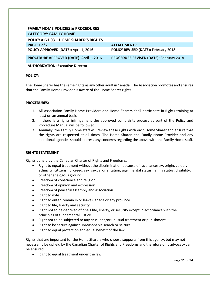<span id="page-11-0"></span>

| <b>FAMILY HOME POLICIES &amp; PROCEDURES</b>    |                                                |
|-------------------------------------------------|------------------------------------------------|
| <b>CATEGORY: FAMILY HOME</b>                    |                                                |
| <b>POLICY # G1.03 - HOME SHARER'S RIGHTS</b>    |                                                |
| PAGE: $1$ of $2$                                | <b>ATTACHMENTS:</b>                            |
| POLICY APPROVED (DATE): April 1, 2016           | <b>POLICY REVISED (DATE): February 2018</b>    |
| <b>PROCEDURE APPROVED (DATE): April 1, 2016</b> | <b>PROCEDURE REVISED (DATE): February 2018</b> |
| <b>AUTHORIZATION: Executive Director</b>        |                                                |

The Home Sharer has the same rights as any other adult in Canada. The Association promotes and ensures that the Family Home Provider is aware of the Home Sharer rights.

#### **PROCEDURES:**

- 1. All Association Family Home Providers and Home Sharers shall participate in Rights training at least on an annual basis.
- 2. If there is a rights infringement the approved complaints process as part of the Policy and Procedure Manual will be followed.
- 3. Annually, the Family Home staff will review these rights with each Home Sharer and ensure that the rights are respected at all times. The Home Sharer, the Family Home Provider and any additional agencies should address any concerns regarding the above with the Family Home staff.

#### **RIGHTS STATEMENT**

Rights upheld by the Canadian Charter of Rights and Freedoms:

- Right to equal treatment without the discrimination because of race, ancestry, origin, colour, ethnicity, citizenship, creed, sex, sexual orientation, age, marital status, family status, disability, or other analogous ground
- Freedom of conscience and religion
- Freedom of opinion and expression
- Freedom of peaceful assembly and association
- Right to vote
- Right to enter, remain in or leave Canada or any province
- Right to life, liberty and security
- Right not to be deprived of one's life, liberty, or security except in accordance with the principles of fundamental justice
- Right not to be subjected to any cruel and/or unusual treatment or punishment
- Right to be secure against unreasonable search or seizure
- Right to equal protection and equal benefit of the law.

Rights that are important for the Home Sharers who choose supports from this agency, but may not necessarily be upheld by the Canadian Charter of Rights and Freedoms and therefore only advocacy can be ensured.

• Right to equal treatment under the law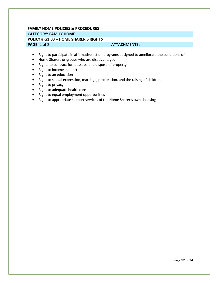## **FAMILY HOME POLICIES & PROCEDURES CATEGORY: FAMILY HOME POLICY # G1.03 – HOME SHARER'S RIGHTS PAGE:** 2 of 2 **ATTACHMENTS:**

- Right to participate in affirmative action programs designed to ameliorate the conditions of
- Home Sharers or groups who are disadvantaged
- Rights to contract for, possess, and dispose of property
- Right to income support
- Right to an education
- Right to sexual expression, marriage, procreation, and the raising of children
- Right to privacy
- Right to adequate health care
- Right to equal employment opportunities
- Right to appropriate support services of the Home Sharer's own choosing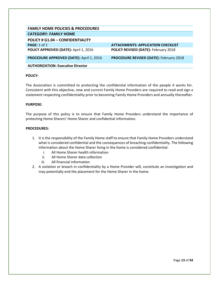<span id="page-13-0"></span>

| <b>FAMILY HOME POLICIES &amp; PROCEDURES</b>    |                                                |
|-------------------------------------------------|------------------------------------------------|
| <b>CATEGORY: FAMILY HOME</b>                    |                                                |
| POLICY # G1.04 - CONFIDENTIALITY                |                                                |
| PAGE: 1 of 1                                    | <b>ATTACHMENTS: APPLICATION CHECKLIST</b>      |
| POLICY APPROVED (DATE): April 1, 2016           | <b>POLICY REVISED (DATE): February 2018</b>    |
| <b>PROCEDURE APPROVED (DATE): April 1, 2016</b> | <b>PROCEDURE REVISED (DATE): February 2018</b> |
| <b>AUTHORIZATION: Executive Director</b>        |                                                |

The Association is committed to protecting the confidential information of the people it works for. Consistent with this objective, new and current Family Home Providers are required to read and sign a statement respecting confidentiality prior to becoming Family Home Providers and annually thereafter.

#### **PURPOSE:**

The purpose of this policy is to ensure that Family Home Providers understand the importance of protecting Home Sharers' Home Sharer and confidential information.

- 1. It is the responsibility of the Family Home staff to ensure that Family Home Providers understand what is considered confidential and the consequences of breaching confidentiality. The following information about the Home Sharer living in the home is considered confidential:
	- i. All Home Sharer health information
	- ii. All Home Sharer data collection
	- iii. All financial information
- 2. A violation or breach in confidentiality by a Home Provider will, constitute an investigation and may potentially end the placement for the Home Sharer in the home.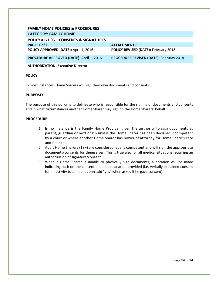<span id="page-14-0"></span>

| <b>FAMILY HOME POLICIES &amp; PROCEDURES</b> |                                                |
|----------------------------------------------|------------------------------------------------|
| <b>CATEGORY: FAMILY HOME</b>                 |                                                |
| POLICY # G1.05 - CONSENTS & SIGNATURES       |                                                |
| PAGE: 1 of 1                                 | <b>ATTACHMENTS:</b>                            |
| POLICY APPROVED (DATE): April 1, 2016        | <b>POLICY REVISED (DATE): February 2018</b>    |
| PROCEDURE APPROVED (DATE): April 1, 2016     | <b>PROCEDURE REVISED (DATE): February 2018</b> |
| <b>AUTHORIZATION: Executive Director</b>     |                                                |

In most instances, Home Sharers will sign their own documents and consents.

#### **PURPOSE:**

The purpose of this policy is to delineate who is responsible for the signing of documents and consents and in what circumstances another Home Sharer may sign on the Home Sharers' behalf.

- 1. In no instance is the Family Home Provider given the authority to sign documents as parent, guardian or next of kin unless the Home Sharer has been declared incompetent by a court or where another Home Sharer has power of attorney for Home Share's care and finance.
- 2. Adult Home Sharers (18+) are considered legally competent and will sign the appropriate documents/consents for themselves. This is true also for all medical situations requiring an authorization of signature/consent.
- 3. When a Home Sharer is unable to physically sign documents, a notation will be made indicating such on the consent and an explanation provided (i.e. verbally explained consent for an activity to John and John said "yes" when asked if he gave consent).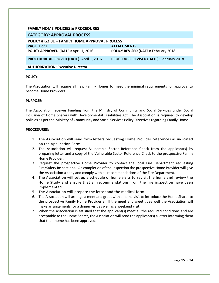<span id="page-15-1"></span><span id="page-15-0"></span>

| <b>FAMILY HOME POLICIES &amp; PROCEDURES</b>         |                                                |  |
|------------------------------------------------------|------------------------------------------------|--|
| <b>CATEGORY: APPROVAL PROCESS</b>                    |                                                |  |
| <b>POLICY # G2.01 - FAMILY HOME APPROVAL PROCESS</b> |                                                |  |
| <b>PAGE: 1 of 1</b>                                  | <b>ATTACHMENTS:</b>                            |  |
| POLICY APPROVED (DATE): April 1, 2016                | <b>POLICY REVISED (DATE): February 2018</b>    |  |
| <b>PROCEDURE APPROVED (DATE): April 1, 2016</b>      | <b>PROCEDURE REVISED (DATE): February 2018</b> |  |
| <b>AUTHORIZATION: Executive Director</b>             |                                                |  |

The Association will require all new Family Homes to meet the minimal requirements for approval to become Home Providers.

#### **PURPOSE:**

The Association receives Funding from the Ministry of Community and Social Services under Social Inclusion of Home Sharers with Developmental Disabilities Act. The Association is required to develop policies as per the Ministry of Community and Social Services Policy Directives regarding Family Home.

- 1. The Association will send form letters requesting Home Provider references as indicated on the Application Form.
- 2. The Association will request Vulnerable Sector Reference Check from the applicant(s) by preparing letter and a copy of the Vulnerable Sector Reference Check to the prospective Family Home Provider.
- 3. Request the prospective Home Provider to contact the local Fire Department requesting Fire/Safety Inspections. On completion of the inspection the prospective Home Provider will give the Association a copy and comply with all recommendations of the Fire Department.
- 4. The Association will set up a schedule of home visits to revisit the home and review the Home Study and ensure that all recommendations from the fire inspection have been implemented.
- 5. The Association will prepare the letter and the medical form.
- 6. The Association will arrange a meet and greet with a home visit to introduce the Home Sharer to the prospective Family Home Provider(s). If the meet and greet goes well the Association will make arrangements for a dinner visit as well as a weekend visit.
- 7. When the Association is satisfied that the applicant(s) meet all the required conditions and are acceptable to the Home Sharer, the Association will send the applicant(s) a letter informing them that their home has been approved.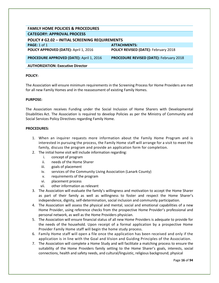<span id="page-16-0"></span>

| <b>FAMILY HOME POLICIES &amp; PROCEDURES</b>           |                                                |  |
|--------------------------------------------------------|------------------------------------------------|--|
| <b>CATEGORY: APPROVAL PROCESS</b>                      |                                                |  |
| <b>POLICY # G2.02 - INITIAL SCREENING REQUIREMENTS</b> |                                                |  |
| PAGE: $1$ of $1$                                       | <b>ATTACHMENTS:</b>                            |  |
| POLICY APPROVED (DATE): April 1, 2016                  | POLICY REVISED (DATE): February 2018           |  |
| <b>PROCEDURE APPROVED (DATE): April 1, 2016</b>        | <b>PROCEDURE REVISED (DATE): February 2018</b> |  |
| <b>AUTHORIZATION: Executive Director</b>               |                                                |  |

The Association will ensure minimum requirements in the Screening Process for Home Providers are met for all new Family Homes and in the reassessment of existing Family Homes.

#### **PURPOSE:**

The Association receives Funding under the Social Inclusion of Home Sharers with Developmental Disabilities Act. The Association is required to develop Policies as per the Ministry of Community and Social Services Policy Directives regarding Family Home.

- 1. When an inquirer requests more information about the Family Home Program and is interested in pursuing the process, the Family Home staff will arrange for a visit to meet the family, discuss the program and provide an application form for completion.
- 2. The initial home visit will include information regarding:
	- i. concept of program
	- ii. needs of the Home Sharer
	- iii. goals of placement
	- iv. services of the Community Living Association (Lanark County)
	- v. requirements of the program
	- vi. placement process
	- vii. other information as relevant
- 3. The Association will evaluate the family's willingness and motivation to accept the Home Sharer as part of their family as well as willingness to foster and respect the Home Sharer's independence, dignity, self-determination, social inclusion and community participation.
- 4. The Association will assess the physical and mental, social and emotional capabilities of a new Home Provider, using reference checks from the prospective Home Provider's professional and personal network, as well as the Home Providers physician.
- 5. The Association will ensure financial status of all new Home Providers is adequate to provide for the needs of the household. Upon receipt of a formal application by a prospective Home Provider Family Home staff will begin the home study process.
- 6. Family Home staff will open a file once the application has been received and only if the application is in line with the Goal and Vision and Guiding Principles of the Association.
- 7. The Association will complete a Home Study and will facilitate a matching process to ensure the suitability of the Home Providers family setting to the Home Sharer's goals, interests, social connections, health and safety needs, and cultural/linguistic, religious background; physical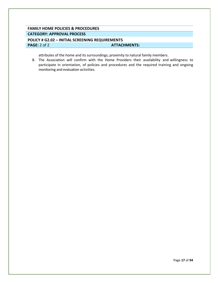# **FAMILY HOME POLICIES & PROCEDURES CATEGORY: APPROVAL PROCESS**

## <span id="page-17-0"></span>**POLICY # G2.02 – INITIAL SCREENING REQUIREMENTS PAGE:** 2 of 2 **ATTACHMENTS:**

attributes of the home and its surroundings; proximity to natural family members.

8. The Association will confirm with the Home Providers their availability and willingness to participate in orientation, of policies and procedures and the required training and ongoing monitoring and evaluation activities.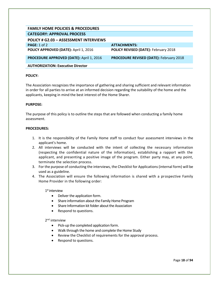<span id="page-18-0"></span>

| <b>FAMILY HOME POLICIES &amp; PROCEDURES</b>    |                                                |
|-------------------------------------------------|------------------------------------------------|
| <b>CATEGORY: APPROVAL PROCESS</b>               |                                                |
| <b>POLICY # G2.03 - ASSESSMENT INTERVIEWS</b>   |                                                |
| <b>PAGE: 1 of 2</b>                             | <b>ATTACHMENTS:</b>                            |
| POLICY APPROVED (DATE): April 1, 2016           | POLICY REVISED (DATE): February 2018           |
| <b>PROCEDURE APPROVED (DATE): April 1, 2016</b> | <b>PROCEDURE REVISED (DATE): February 2018</b> |
| <b>AUTHORIZATION: Executive Director</b>        |                                                |

The Association recognizes the importance of gathering and sharing sufficient and relevant information in order for all parties to arrive at an informed decision regarding the suitability of the home and the applicants, keeping in mind the best interest of the Home Sharer.

#### **PURPOSE:**

The purpose of this policy is to outline the steps that are followed when conducting a family home assessment.

#### **PROCEDURES:**

- 1. It is the responsibility of the Family Home staff to conduct four assessment interviews in the applicant's home.
- 2. All interviews will be conducted with the intent of collecting the necessary information (respecting the confidential nature of the information), establishing a rapport with the applicant, and presenting a positive image of the program. Either party may, at any point, terminate the selection process.
- 3. For the purpose of conducting the interviews, the Checklist for Applications (internal form) will be used as a guideline.
- 4. The Association will ensure the following information is shared with a prospective Family Home Provider in the following order:

1 st interview

- Deliver the application form.
- Share information about the Family Home Program
- Share Information kit folder about the Association
- Respond to questions.

2<sup>nd</sup> interview

- Pick-up the completed application form.
- Walk through the home and complete the Home Study
- Review the Checklist of requirements for the approval process.
- Respond to questions.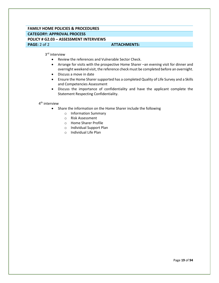## **FAMILY HOME POLICIES & PROCEDURES CATEGORY: APPROVAL PROCESS POLICY # G2.03 – ASSESSMENT INTERVIEWS PAGE:** 2 of 2 **ATTACHMENTS: ATTACHMENTS:**

3<sup>rd</sup> interview

- Review the references and Vulnerable Sector Check.
- Arrange for visits with the prospective Home Sharer –an evening visit for dinner and overnight weekend visit, the reference check must be completed before an overnight.
- Discuss a move in date
- Ensure the Home Sharer supported has a completed Quality of Life Survey and a Skills and Competencies Assessment
- Discuss the importance of confidentiality and have the applicant complete the Statement Respecting Confidentiality.

4<sup>th</sup> interview

- Share the information on the Home Sharer include the following
	- o Information Summary
	- o Risk Assessment
	- o Home Sharer Profile
	- o Individual Support Plan
	- o Individual Life Plan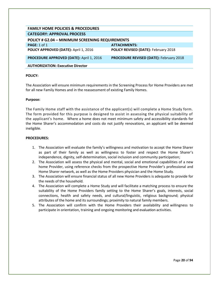<span id="page-20-0"></span>

| <b>FAMILY HOME POLICIES &amp; PROCEDURES</b>           |                                                |  |
|--------------------------------------------------------|------------------------------------------------|--|
| <b>CATEGORY: APPROVAL PROCESS</b>                      |                                                |  |
| <b>POLICY # G2.04 - MINIMUM SCREENING REQUIREMENTS</b> |                                                |  |
| <b>PAGE: 1 of 1</b>                                    | <b>ATTACHMENTS:</b>                            |  |
| POLICY APPROVED (DATE): April 1, 2016                  | POLICY REVISED (DATE): February 2018           |  |
| <b>PROCEDURE APPROVED (DATE): April 1, 2016</b>        | <b>PROCEDURE REVISED (DATE): February 2018</b> |  |
| <b>AUTHORIZATION: Executive Director</b>               |                                                |  |

The Association will ensure minimum requirements in the Screening Process for Home Providers are met for all new Family Homes and in the reassessment of existing Family Homes.

#### **Purpose:**

The Family Home staff with the assistance of the applicant(s) will complete a Home Study form. The form provided for this purpose is designed to assist in assessing the physical suitability of the applicant's home. Where a home does not meet minimum safety and accessibility standards for the Home Sharer's accommodation and costs do not justify renovations, an applicant will be deemed ineligible.

- 1. The Association will evaluate the family's willingness and motivation to accept the Home Sharer as part of their family as well as willingness to foster and respect the Home Sharer's independence, dignity, self-determination, social inclusion and community participation;
- 2. The Association will assess the physical and mental, social and emotional capabilities of a new home Provider, using reference checks from the prospective Home Provider's professional and Home Sharer network, as well as the Home Providers physician and the Home Study.
- 3. The Association will ensure financial status of all new Home Providers is adequate to provide for the needs of the household.
- 4. The Association will complete a Home Study and will facilitate a matching process to ensure the suitability of the Home Providers family setting to the Home Sharer's goals, interests, social connections, health and safety needs, and cultural/linguistic, religious background; physical attributes of the home and its surroundings; proximity to natural family members.
- 5. The Association will confirm with the Home Providers their availability and willingness to participate in orientation, training and ongoing monitoring and evaluation activities.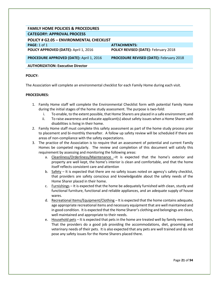<span id="page-21-0"></span>

| <b>FAMILY HOME POLICIES &amp; PROCEDURES</b>    |                                                |
|-------------------------------------------------|------------------------------------------------|
| <b>CATEGORY: APPROVAL PROCESS</b>               |                                                |
| <b>POLICY # G2.05 - ENVIRONMENTAL CHECKLIST</b> |                                                |
| PAGE: 1 of 1                                    | <b>ATTACHMENTS:</b>                            |
| POLICY APPROVED (DATE): April 1, 2016           | POLICY REVISED (DATE): February 2018           |
| <b>PROCEDURE APPROVED (DATE): April 1, 2016</b> | <b>PROCEDURE REVISED (DATE): February 2018</b> |
| <b>AUTHORIZATION: Executive Director</b>        |                                                |

The Association will complete an environmental checklist for each Family Home during each visit.

- 1. Family Home staff will complete the Environmental Checklist form with potential Family Home during the initial stages of the home study assessment. The purpose is two-fold:
	- i. To enable, to the extent possible, that Home Sharers are placed in a safe environment; and
	- ii. To raise awareness and educate applicant(s) about safety issues when a Home Sharer with disabilities is living in their home.
- 2. Family Home staff must complete this safety assessment as part of the home study process prior to placement and bi-monthly thereafter. A follow up safety review will be scheduled if there are areas of non-compliance with the safety expectations.
- 3. The practice of the Association is to require that an assessment of potential and current Family Homes be competed regularly. The review and completion of this document will satisfy this requirement by assessing and monitoring the following areas:
	- a. Cleanliness/Orderliness/Maintenance –It is expected that the home's exterior and property are well kept, the home's interior is clean and comfortable, and that the home itself reflects consistent care and attention
	- b. Safety It is expected that there are no safety issues noted on agency's safety checklist, that providers are safety conscious and knowledgeable about the safety needs of the Home Sharer placed in their home.
	- c.  $F_{\text{turnishing}}$  It is expected that the home be adequately furnished with clean, sturdy and functional furniture, functional and reliable appliances, and an adequate supply of house wares.
	- d. Recreational Items/Equipment/Clothing It is expected that the home contains adequate, age appropriate recreational items and necessary equipment that are well maintained and in good condition. It is expected that the Home Sharer's clothing and belongings are clean, well maintained and appropriate to their needs.
	- e. Household pets It is expected that pets in the home are treated well by family members, That the providers do a good job providing the accommodations, diet, grooming and veterinary needs of their pets. It is also expected that any pets are well trained and do not pose any safety issues for the Home Sharers placed there.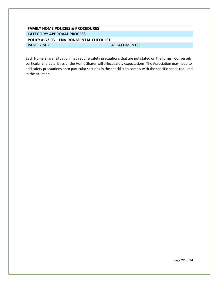## <span id="page-22-0"></span>**FAMILY HOME POLICIES & PROCEDURES CATEGORY: APPROVAL PROCESS POLICY # G2.05 – ENVIRONMENTAL CHECKLIST PAGE:** 2 of 2 **ATTACHMENTS:**

Each Home Sharer situation may require safety precautions that are not stated on the forms. Conversely, particular characteristics of the Home Sharer will affect safety expectations, The Association may need to add safety precautions onto particular sections in the checklist to comply with the specific needs required in the situation.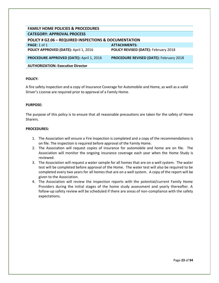<span id="page-23-0"></span>

| <b>FAMILY HOME POLICIES &amp; PROCEDURES</b>          |                                                |
|-------------------------------------------------------|------------------------------------------------|
| <b>CATEGORY: APPROVAL PROCESS</b>                     |                                                |
| POLICY # G2.06 - REQUIRED INSPECTIONS & DOCUMENTATION |                                                |
| PAGE: 1 of 1                                          | <b>ATTACHMENTS:</b>                            |
| POLICY APPROVED (DATE): April 1, 2016                 | <b>POLICY REVISED (DATE): February 2018</b>    |
| PROCEDURE APPROVED (DATE): April 1, 2016              | <b>PROCEDURE REVISED (DATE): February 2018</b> |
| <b>AUTHORIZATION: Executive Director</b>              |                                                |

A fire safety inspection and a copy of Insurance Coverage for Automobile and Home, as well as a valid Driver's License are required prior to approval of a Family Home.

#### **PURPOSE:**

The purpose of this policy is to ensure that all reasonable precautions are taken for the safety of Home Sharers.

- 1. The Association will ensure a Fire Inspection is completed and a copy of the recommendations is on file. The inspection is required before approval of the Family Home.
- 2. The Association will request copies of insurance for automobile and home are on file. The Association will monitor the ongoing insurance coverage each year when the Home Study is reviewed.
- 3. The Association will request a water sample for all homes that are on a well system. The water test will be completed before approval of the Home. The water test will also be required to be completed every two years for all homes that are on a well system. A copy of the report will be given to the Association.
- 4. The Association will review the inspection reports with the potential/current Family Home Providers during the initial stages of the home study assessment and yearly thereafter. A follow-up safety review will be scheduled if there are areas of non-compliance with the safety expectations.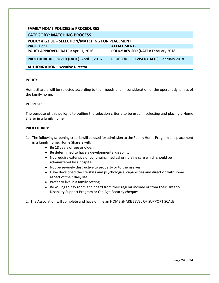<span id="page-24-1"></span><span id="page-24-0"></span>

| <b>FAMILY HOME POLICIES &amp; PROCEDURES</b>      |                                                |
|---------------------------------------------------|------------------------------------------------|
| <b>CATEGORY: MATCHING PROCESS</b>                 |                                                |
| POLICY # G3.01 - SELECTION/MATCHING FOR PLACEMENT |                                                |
| PAGE: 1 of 1                                      | <b>ATTACHMENTS:</b>                            |
| POLICY APPROVED (DATE): April 1, 2016             | <b>POLICY REVISED (DATE): February 2018</b>    |
| <b>PROCEDURE APPROVED (DATE): April 1, 2016</b>   | <b>PROCEDURE REVISED (DATE): February 2018</b> |
| <b>AUTHORIZATION: Executive Director</b>          |                                                |

Home Sharers will be selected according to their needs and in consideration of the operant dynamics of the family home.

#### **PURPOSE:**

The purpose of this policy is to outline the selection criteria to be used in selecting and placing a Home Sharer in a family home.

- 1. The following screening criteria will be used for admission to the Family Home Program and placement in a family home. Home Sharers will:
	- Be 18 years of age or older.
	- Be determined to have a developmental disability.
	- Not require extensive or continuing medical or nursing care which should be administered by a hospital.
	- Not be severely destructive to property or to themselves.
	- Have developed the life skills and psychological capabilities and direction with some aspect of their daily life.
	- Prefer to live in a family setting.
	- Be willing to pay room and board from their regular income or from their Ontario Disability Support Program or Old Age Security cheques.
- 2. The Association will complete and have on file an HOME SHARE LEVEL OF SUPPORT SCALE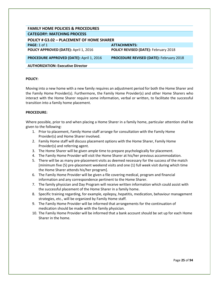<span id="page-25-0"></span>

| <b>FAMILY HOME POLICIES &amp; PROCEDURES</b>    |                                                |
|-------------------------------------------------|------------------------------------------------|
| <b>CATEGORY: MATCHING PROCESS</b>               |                                                |
| POLICY # G3.02 - PLACEMENT OF HOME SHARER       |                                                |
| PAGE: 1 of 1                                    | <b>ATTACHMENTS:</b>                            |
| POLICY APPROVED (DATE): April 1, 2016           | <b>POLICY REVISED (DATE): February 2018</b>    |
| <b>PROCEDURE APPROVED (DATE): April 1, 2016</b> | <b>PROCEDURE REVISED (DATE): February 2018</b> |
| <b>AUTHORIZATION: Executive Director</b>        |                                                |

Moving into a new home with a new family requires an adjustment period for both the Home Sharer and the Family Home Provider(s). Furthermore, the Family Home Provider(s) and other Home Sharers who interact with the Home Sharer require some information, verbal or written, to facilitate the successful transition into a family home placement.

#### **PROCEDURE:**

Where possible, prior to and when placing a Home Sharer in a family home, particular attention shall be given to the following:

- 1. Prior to placement, Family Home staff arrange for consultation with the Family Home Provider(s) and Home Sharer involved.
- 2. Family Home staff will discuss placement options with the Home Sharer, Family Home Provider(s) and referring agent.
- 3. The Home Sharer will be given ample time to prepare psychologically for placement.
- 4. The Family Home Provider will visit the Home Sharer at his/her previous accommodation.
- 5. There will be as many pre-placement visits as deemed necessary for the success of the match [minimum five (5) pre-placement weekend visits and one (1) full week visit during which time the Home Sharer attends his/her program].
- 6. The Family Home Provider will be given a file covering medical, program and financial information and any correspondence pertinent to the Home Sharer.
- 7. The family physician and Day Program will receive written information which could assist with the successful placement of the Home Sharer in a family home.
- 8. Specific training regarding, for example, epilepsy, hepatitis, medication, behaviour management strategies, etc., will be organized by Family Home staff.
- 9. The Family Home Provider will be informed that arrangements for the continuation of medication should be made with the family physician.
- 10. The Family Home Provider will be informed that a bank account should be set up for each Home Sharer in the home.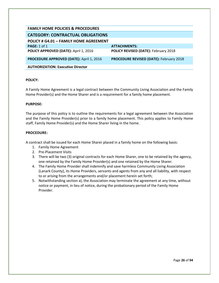<span id="page-26-1"></span><span id="page-26-0"></span>

| <b>FAMILY HOME POLICIES &amp; PROCEDURES</b>    |                                                |
|-------------------------------------------------|------------------------------------------------|
|                                                 |                                                |
| <b>CATEGORY: CONTRACTUAL OBLIGATIONS</b>        |                                                |
| POLICY # G4.01 - FAMILY HOME AGREEMENT          |                                                |
| PAGE: $1$ of $1$                                | <b>ATTACHMENTS:</b>                            |
| POLICY APPROVED (DATE): April 1, 2016           | <b>POLICY REVISED (DATE): February 2018</b>    |
| <b>PROCEDURE APPROVED (DATE): April 1, 2016</b> | <b>PROCEDURE REVISED (DATE): February 2018</b> |
| <b>AUTHORIZATION: Executive Director</b>        |                                                |

A Family Home Agreement is a legal contract between the Community Living Association and the Family Home Provider(s) and the Home Sharer and is a requirement for a family home placement.

#### **PURPOSE:**

The purpose of this policy is to outline the requirements for a legal agreement between the Association and the Family Home Provider(s) prior to a family home placement. This policy applies to Family Home staff, Family Home Provider(s) and the Home Sharer living in the home.

#### **PROCEDURE:**

A contract shall be issued for each Home Sharer placed in a family home on the following basis:

- 1. Family Home Agreement
- 2. Pre-Placement Visits
- 3. There will be two (3) original contracts for each Home Sharer, one to be retained by the agency, one retained by the Family Home Provider(s) and one retained by the Home Sharer.
- 4. The Family Home Provider shall indemnify and save harmless Community Living Association (Lanark County), its Home Providers, servants and agents from any and all liability, with respect to or arising from the arrangements and/or placement herein set forth;
- 5. Notwithstanding section a), the Association may terminate the agreement at any time, without notice or payment, in lieu of notice, during the probationary period of the Family Home Provider.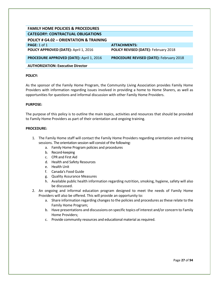<span id="page-27-0"></span>

| <b>FAMILY HOME POLICIES &amp; PROCEDURES</b>       |                                                |
|----------------------------------------------------|------------------------------------------------|
| <b>CATEGORY: CONTRACTUAL OBLIGATIONS</b>           |                                                |
| <b>POLICY # G4.02 - ORIENTATION &amp; TRAINING</b> |                                                |
| <b>PAGE: 1 of 1</b>                                | <b>ATTACHMENTS:</b>                            |
| POLICY APPROVED (DATE): April 1, 2016              | <b>POLICY REVISED (DATE): February 2018</b>    |
| <b>PROCEDURE APPROVED (DATE): April 1, 2016</b>    | <b>PROCEDURE REVISED (DATE): February 2018</b> |
| <b>AUTHORIZATION: Executive Director</b>           |                                                |

As the sponsor of the Family Home Program, the Community Living Association provides Family Home Providers with information regarding issues involved in providing a home to Home Sharers, as well as opportunities for questions and informal discussion with other Family Home Providers.

#### **PURPOSE:**

The purpose of this policy is to outline the main topics, activities and resources that should be provided to Family Home Providers as part of their orientation and ongoing training.

- 1. The Family Home staff will contact the Family Home Providers regarding orientation and training sessions. The orientation session will consist of the following:
	- a. Family Home Program policies and procedures
	- b. Record-keeping
	- c. CPR and First Aid
	- d. Health and Safety Resources
	- e. Health Unit
	- f. Canada's Food Guide
	- g. Quality Assurance Measures
	- h. Available public health information regarding nutrition, smoking, hygiene, safety will also be discussed.
- 2. An ongoing and informal education program designed to meet the needs of Family Home Providers will also be offered. This will provide an opportunity to:
	- a. Share information regarding changes to the policies and procedures as these relate to the Family Home Program;
	- b. Have presentations and discussions on specific topics of interest and/or concern to Family Home Providers;
	- c. Provide community resources and educational material as required.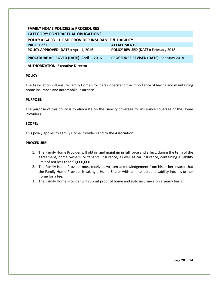<span id="page-28-0"></span>

| <b>FAMILY HOME POLICIES &amp; PROCEDURES</b>                    |                                                |
|-----------------------------------------------------------------|------------------------------------------------|
| <b>CATEGORY: CONTRACTUAL OBLIGATIONS</b>                        |                                                |
| <b>POLICY # G4.03 - HOME PROVIDER INSURANCE &amp; LIABILITY</b> |                                                |
| PAGE: $1$ of $1$                                                | <b>ATTACHMENTS:</b>                            |
| POLICY APPROVED (DATE): April 1, 2016                           | <b>POLICY REVISED (DATE): February 2018</b>    |
| <b>PROCEDURE APPROVED (DATE): April 1, 2016</b>                 | <b>PROCEDURE REVISED (DATE): February 2018</b> |
| <b>AUTHORIZATION: Executive Director</b>                        |                                                |

The Association will ensure Family Home Providers understand the importance of having and maintaining home insurance and automobile insurance.

#### **PURPOSE:**

The purpose of this policy is to elaborate on the Liability coverage for insurance coverage of the Home Providers.

#### **SCOPE:**

This policy applies to Family Home Providers and to the Association.

- 1. The Family Home Provider will obtain and maintain in full force and effect, during the term of the agreement, home owners' or tenants' insurance, as well as car insurance, containing a liability limit of not less than \$1,000,000.
- 2. The Family Home Provider must receive a written acknowledgement from his or her insurer that the Family Home Provider is taking a Home Sharer with an intellectual disability into his or her home for a fee.
- 3. The Family Home Provider will submit proof of home and auto insurance on a yearly basis.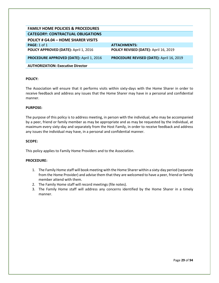<span id="page-29-0"></span>

| <b>FAMILY HOME POLICIES &amp; PROCEDURES</b> |                                          |
|----------------------------------------------|------------------------------------------|
| <b>CATEGORY: CONTRACTUAL OBLIGATIONS</b>     |                                          |
| POLICY # G4.04 - HOME SHARER VISITS          |                                          |
| PAGE: 1 of 1                                 | <b>ATTACHMENTS:</b>                      |
| POLICY APPROVED (DATE): April 1, 2016        | POLICY REVISED (DATE): April 16, 2019    |
| PROCEDURE APPROVED (DATE): April 1, 2016     | PROCEDURE REVISED (DATE): April 16, 2019 |
| <b>AUTHORIZATION: Executive Director</b>     |                                          |

The Association will ensure that it performs visits within sixty-days with the Home Sharer in order to receive feedback and address any issues that the Home Sharer may have in a personal and confidential manner.

#### **PURPOSE:**

The purpose of this policy is to address meeting, in person with the individual, who may be accompanied by a peer, friend or family member as may be appropriate and as may be requested by the individual, at maximum every sixty-day and separately from the Host Family, in order to receive feedback and address any issues the individual may have, in a personal and confidential manner.

#### **SCOPE:**

This policy applies to Family Home Providers and to the Association.

- 1. The Family Home staff will book meeting with the Home Sharer within a sixty-day period (separate from the Home Provider) and advise them that they are welcomed to have a peer, friend or family member attend with them.
- 2. The Family Home staff will record meetings (file notes).
- 3. The Family Home staff will address any concerns identified by the Home Sharer in a timely manner.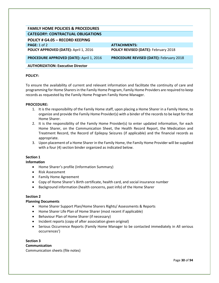<span id="page-30-0"></span>

| <b>FAMILY HOME POLICIES &amp; PROCEDURES</b>    |                                                |
|-------------------------------------------------|------------------------------------------------|
| <b>CATEGORY: CONTRACTUAL OBLIGATIONS</b>        |                                                |
| <b>POLICY # G4.05 - RECORD KEEPING</b>          |                                                |
| PAGE: 1 of 2                                    | <b>ATTACHMENTS:</b>                            |
| POLICY APPROVED (DATE): April 1, 2016           | POLICY REVISED (DATE): February 2018           |
| <b>PROCEDURE APPROVED (DATE): April 1, 2016</b> | <b>PROCEDURE REVISED (DATE): February 2018</b> |
| <b>AUTHORIZATION: Executive Director</b>        |                                                |

To ensure the availability of current and relevant information and facilitate the continuity of care and programming for Home Sharers in the Family Home Program, Family Home Providers are required to keep records as requested by the Family Home Program Family Home Manager.

#### **PROCEDURE:**

- 1. It is the responsibility of the Family Home staff, upon placing a Home Sharer in a Family Home, to organize and provide the Family Home Provider(s) with a binder of the records to be kept for that Home Sharer.
- 2. It is the responsibility of the Family Home Provider(s) to enter updated information, for each Home Sharer, on the Communication Sheet, the Health Record Report, the Medication and Treatment Record, the Record of Epilepsy Seizures (if applicable) and the financial records as appropriate.
- 3. Upon placement of a Home Sharer in the Family Home, the Family Home Provider will be supplied with a four (4) section binder organized as indicated below.

#### **Section 1**

#### **Information**

- Home Sharer's profile (Information Summary)
- Risk Assessment
- Family Home Agreement
- Copy of Home Sharer's Birth certificate, health card, and social insurance number
- Background information (health concerns, past info) of the Home Sharer

#### **Section 2**

#### **Planning Documents**

- Home Sharer Support Plan/Home Sharers Rights/ Assessments & Reports
- Home Sharer Life Plan of Home Sharer (most recent if applicable)
- Behaviour Plan of Home Sharer (if necessary)
- Incident reports (copy of after association given original)
- Serious Occurrence Reports (Family Home Manager to be contacted immediately in All serious occurrences')

**Section 3 Communication**  Communication sheets (file notes)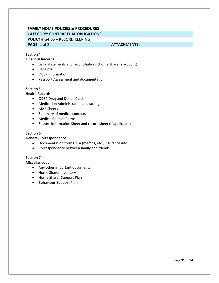# **FAMILY HOME POLICIES & PROCEDURES CATEGORY: CONTRACTUAL OBLIGATIONS POLICY # G4.05 – RECORD KEEPING**

#### **PAGE:** 2 of 2 **ATTACHMENTS: ATTACHMENTS:**

#### **Section 4**

#### **Financial Records**

- Bank Statements and reconciliations (Home Sharer's account)
- Receipts
- ODSP information
- Passport Assessment and documentation

#### **Section 5**

#### **Health Records**

- ODSP Drug and Dental Cards
- Medication Administration and storage
- MAR Sheets
- Summary of medical contacts
- Medical Contact Forms
- Seizure Information Sheet and record sheet (if applicable)

#### **Section 6**

#### **General Correspondence**

- Documentation from C.L.A (memos, etc., insurance info)
- Correspondence between family and friends

#### **Section 7**

**Miscellaneous**

- Any other important documents
- Home Sharer Inventory
- Home Sharer Support Plan
- Behaviour Support Plan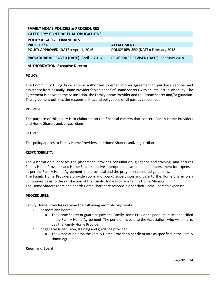<span id="page-32-0"></span>

| <b>FAMILY HOME POLICIES &amp; PROCEDURES</b> |                                                |
|----------------------------------------------|------------------------------------------------|
| <b>CATEGORY: CONTRACTUAL OBLIGATIONS</b>     |                                                |
| POLICY # G4.06 - FINANCIALS                  |                                                |
| <b>PAGE:</b> 1 of 4                          | <b>ATTACHMENTS:</b>                            |
| POLICY APPROVED (DATE): April 1, 2016        | POLICY REVISED (DATE): February 2018           |
| PROCEDURE APPROVED (DATE): April 1, 2016     | <b>PROCEDURE REVISED (DATE): February 2018</b> |
| <b>AUTHORIZATION: Executive Director</b>     |                                                |

The Community Living Association is authorized to enter into an agreement to purchase services and assistance from a Family Home Provider for/on behalf of Home Sharers with an intellectual disability. The agreement is between the Association, the Family Home Provider and the Home Sharer and/or guardian. The agreement outlines the responsibilities and obligations of all parties concerned.

#### **PURPOSE:**

The purpose of this policy is to elaborate on the financial matters that concern Family Home Providers and Home Sharers and/or guardians.

#### **SCOPE:**

This policy applies to Family Home Providers and Home Sharers and/or guardians.

#### **RESPONSIBILITY:**

The Association supervises the placement, provides consultation, guidance and training, and ensures Family Home Providers and Home Sharers receive appropriate payment and reimbursement for expenses as per the Family Home Agreement, the provincial and the program-sponsored guidelines.

The Family Home Providers provide room and board, supervision and care to the Home Sharer on a continuous basis to the satisfaction of the Family Home Program Family Home Manager.

The Home Sharers room and board; Home Sharer are responsible for their Home Sharer's expenses.

#### **PROCEDURES:**

Family Home Providers receive the following monthly payments:

- 1. For room and board:
	- a. The Home Sharer or guardian pays the Family Home Provider a per diem rate as specified in the Family Home Agreement. The per diem is paid to the Association, who will in turn, pay the Family Home Provider.
- 2. For general supervision, training and guidance provided:
	- a. The Association pays the Family Home Provider a per diem rate as specified in the Family Home Agreement.

#### **Room and Board**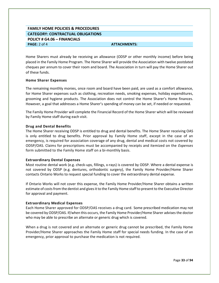## **FAMILY HOME POLICIES & PROCEDURES CATEGORY: CONTRACTUAL OBLIGATIONS POLICY # G4.06 – FINANCIALS PAGE:** 2 of 4 **ATTACHMENTS:**

Home Sharers must already be receiving an allowance (ODSP or other monthly income) before being placed in the Family Home Program. The Home Sharer will provide the Association with twelve postdated cheques per annum to cover their room and board. The Association in turn will pay the Home Sharer out of these funds.

#### **Home Sharer Expenses**

The remaining monthly monies, once room and board have been paid, are used as a comfort allowance, for Home Sharer expenses such as clothing, recreation needs, smoking expenses, holiday expenditures, grooming and hygiene products. The Association does not control the Home Sharer's Home finances. However, a goal that addresses a Home Sharer's spending of money can be set, if needed or requested.

The Family Home Provider will complete the Financial Record of the Home Sharer which will be reviewed by Family Home staff during each visit.

#### **Drug and Dental Benefits**

The Home Sharer receiving ODSP is entitled to drug and dental benefits. The Home Sharer receiving OAS is only entitled to drug benefits. Prior approval by Family Home staff, except in the case of an emergency, is required for association coverage of any drug, dental and medical costs not covered by ODSP/OAS. Claims for prescriptions must be accompanied by receipts and itemized on the *Expenses*  form submitted to the Family Home staff on a bi-monthly basis.

#### **Extraordinary Dental Expenses**

Most routine dental work (e.g. check-ups, fillings, x-rays) is covered by ODSP. Where a dental expense is not covered by ODSP (e.g. dentures, orthodontic surgery), the Family Home Provider/Home Sharer contacts Ontario Works to request special funding to cover the extraordinary dental expense.

If Ontario Works will not cover this expense, the Family Home Provider/Home Sharer obtains a written estimate of costs from the dentist and gives it to the Family Home staff to present to the Executive Director for approval and payment.

#### **Extraordinary Medical Expenses**

Each Home Sharer approved for ODSP/OAS receives a drug card. Some prescribed medication may not be covered by ODSP/OAS. If/when this occurs, the Family Home Provider/Home Sharer advises the doctor who may be able to prescribe an alternate or generic drug which is covered.

When a drug is not covered and an alternate or generic drug cannot be prescribed, the Family Home Provider/Home Sharer approaches the Family Home staff for special needs funding. In the case of an emergency, prior approval to purchase the medication is not required.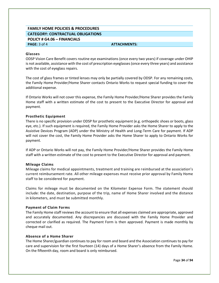### **FAMILY HOME POLICIES & PROCEDURES CATEGORY: CONTRACTUAL OBLIGATIONS POLICY # G4.06 – FINANCIALS PAGE:** 3 of 4 **ATTACHMENTS:**

#### **Glasses**

ODSP Vision Care Benefit covers routine eye examinations (once every two years) if coverage under OHIP is not available, assistance with the cost of prescription eyeglasses (once every three years) and assistance with the cost of eyeglass repairs.

The cost of glass frames or tinted lenses may only be partially covered by ODSP. For any remaining costs, the Family Home Provider/Home Sharer contacts Ontario Works to request special funding to cover the additional expense.

If Ontario Works will not cover this expense, the Family Home Provider/Home Sharer provides the Family Home staff with a written estimate of the cost to present to the Executive Director for approval and payment.

#### **Prosthetic Equipment**

There is no specific provision under ODSP for prosthetic equipment (e.g. orthopedic shoes or boots, glass eye, etc.). If such equipment is required, the Family Home Provider asks the Home Sharer to apply to the Assistive Devices Program (ADP) under the Ministry of Health and Long-Term Care for payment. If ADP will not cover the cost, the Family Home Provider asks the Home Sharer to apply to Ontario Works for payment.

If ADP or Ontario Works will not pay, the Family Home Provider/Home Sharer provides the Family Home staff with a written estimate of the cost to present to the Executive Director for approval and payment.

#### **Mileage Claims**

Mileage claims for medical appointments, treatment and training are reimbursed at the association's current reimbursement rate. All other mileage expenses must receive prior approval by Family Home staff to be considered for payment.

Claims for mileage must be documented on the Kilometer Expense Form. The statement should include: the date, destination, purpose of the trip, name of Home Sharer involved and the distance in kilometers, and must be submitted monthly.

#### **Payment of Claim Forms**

The Family Home staff reviews the account to ensure that all expenses claimed are appropriate, approved and accurately documented. Any discrepancies are discussed with the Family Home Provider and corrected or clarified as required. The Payment Form is then approved. Payment is made monthly by cheque mail out.

#### **Absence of a Home Sharer**

The Home Sharer/guardian continues to pay for room and board and the Association continues to pay for care and supervision for the first fourteen (14) days of a Home Sharer's absence from the Family Home. On the fifteenth day, room and board is only reimbursed.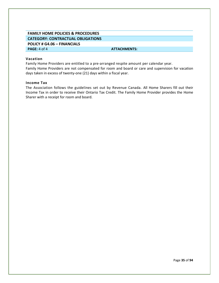## **FAMILY HOME POLICIES & PROCEDURES CATEGORY: CONTRACTUAL OBLIGATIONS POLICY # G4.06 – FINANCIALS**

**PAGE:** 4 of 4 **ATTACHMENTS: ATTACHMENTS:** 

#### **Vacation**

Family Home Providers are entitled to a pre-arranged respite amount per calendar year. Family Home Providers are not compensated for room and board or care and supervision for vacation days taken in excess of twenty-one (21) days within a fiscal year.

#### **Income Tax**

The Association follows the guidelines set out by Revenue Canada. All Home Sharers fill out their Income Tax in order to receive their Ontario Tax Credit. The Family Home Provider provides the Home Sharer with a receipt for room and board.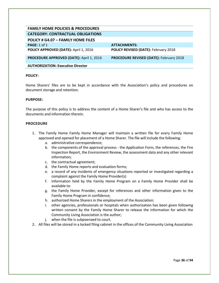| <b>FAMILY HOME POLICIES &amp; PROCEDURES</b>    |                                                |
|-------------------------------------------------|------------------------------------------------|
| <b>CATEGORY: CONTRACTUAL OBLIGATIONS</b>        |                                                |
| POLICY # G4.07 - FAMILY HOME FILES              |                                                |
| PAGE: $1$ of $1$                                | <b>ATTACHMENTS:</b>                            |
| POLICY APPROVED (DATE): April 1, 2016           | <b>POLICY REVISED (DATE): February 2018</b>    |
| <b>PROCEDURE APPROVED (DATE): April 1, 2016</b> | <b>PROCEDURE REVISED (DATE): February 2018</b> |
| <b>AUTHORIZATION: Executive Director</b>        |                                                |
|                                                 |                                                |

Home Sharers' files are to be kept in accordance with the Association's policy and procedures on document storage and retention.

#### **PURPOSE:**

The purpose of this policy is to address the content of a Home Sharer's file and who has access to the documents and information therein.

## **PROCEDURE**

- 1. The Family Home Family Home Manager will maintain a written file for every Family Home approved and opened for placement of a Home Sharer. The file will include the following:
	- a. administrative correspondence;
	- b. the components of the approval process the Application Form, the references, the Fire Inspection Report, the Environment Review, the assessment data and any other relevant information;
	- c. the contractual agreement;
	- d. the Family Home reports and evaluation forms;
	- e. a record of any incidents of emergency situations reported or investigated regarding a complaint against the Family Home Provider(s)
	- f. Information held by the Family Home Program on a Family Home Provider shall be available to:
	- g. the Family Home Provider, except for references and other information given to the Family Home Program in confidence;
	- h. authorized Home Sharers in the employment of the Association;
	- i. other agencies, professionals or hospitals when authorization has been given following written consent by the Family Home Sharer to release the information for which the Community Living Association is the author;
	- j. when the file is subpoenaed to court.
- 2. All files will be stored in a locked filing cabinet in the offices of the Community Living Association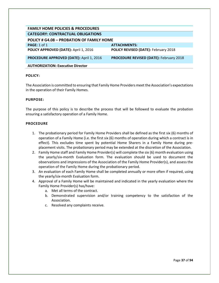| <b>FAMILY HOME POLICIES &amp; PROCEDURES</b>     |                                                |
|--------------------------------------------------|------------------------------------------------|
| <b>CATEGORY: CONTRACTUAL OBLIGATIONS</b>         |                                                |
| <b>POLICY # G4.08 - PROBATION OF FAMILY HOME</b> |                                                |
| PAGE: 1 of 1                                     | <b>ATTACHMENTS:</b>                            |
| POLICY APPROVED (DATE): April 1, 2016            | POLICY REVISED (DATE): February 2018           |
| <b>PROCEDURE APPROVED (DATE): April 1, 2016</b>  | <b>PROCEDURE REVISED (DATE): February 2018</b> |
| <b>AUTHORIZATION: Executive Director</b>         |                                                |
|                                                  |                                                |

The Association is committed to ensuring that Family Home Providers meet the Association's expectations in the operation of their Family Homes.

#### **PURPOSE:**

The purpose of this policy is to describe the process that will be followed to evaluate the probation ensuring a satisfactory operation of a Family Home.

## **PROCEDURE**

- 1. The probationary period for Family Home Providers shall be defined as the first six (6) months of operation of a Family Home (i.e. the first six (6) months of operation during which a contract is in effect). This excludes time spent by potential Home Sharers in a Family Home during preplacement visits. The probationary period may be extended at the discretion of the Association.
- 2. Family Home staff and Family Home Provider(s) will complete the six (6) month evaluation using the yearly/six-month Evaluation form. The evaluation should be used to document the observations and impressions of the Association of the Family Home Provider(s), and assess the operation of the Family Home during the probationary period.
- 3. An evaluation of each Family Home shall be completed annually or more often if required, using the yearly/six-month Evaluation form.
- 4. Approval of a Family Home will be maintained and indicated in the yearly evaluation where the Family Home Provider(s) has/have:
	- a. Met all terms of the contract.
	- b. Demonstrated supervision and/or training competency to the satisfaction of the Association.
	- c. Resolved any complaints receive.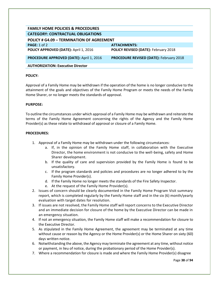| <b>FAMILY HOME POLICIES &amp; PROCEDURES</b>    |                                                |  |
|-------------------------------------------------|------------------------------------------------|--|
| <b>CATEGORY: CONTRACTUAL OBLIGATIONS</b>        |                                                |  |
|                                                 |                                                |  |
| POLICY # G4.09 - TERMINATION OF AGREEMENT       |                                                |  |
| PAGE: $1$ of $2$                                | <b>ATTACHMENTS:</b>                            |  |
| POLICY APPROVED (DATE): April 1, 2016           | POLICY REVISED (DATE): February 2018           |  |
|                                                 |                                                |  |
| <b>PROCEDURE APPROVED (DATE): April 1, 2016</b> | <b>PROCEDURE REVISED (DATE): February 2018</b> |  |
|                                                 |                                                |  |
| <b>AUTHORIZATION: Executive Director</b>        |                                                |  |
|                                                 |                                                |  |

Approval of a Family Home may be withdrawn if the operation of the home is no longer conducive to the attainment of the goals and objectives of the Family Home Program or meets the needs of the Family Home Sharer, or no longer meets the standards of approval.

## **PURPOSE:**

To outline the circumstances under which approval of a Family Home may be withdrawn and reiterate the terms of the Family Home Agreement concerning the rights of the Agency and the Family Home Provider(s) as these relate to withdrawal of approval or closure of a Family Home.

- 1. Approval of a Family Home may be withdrawn under the following circumstances:
	- a. If, in the opinion of the Family Home staff, in collaboration with the Executive Director, the home environment is not conducive to the well-being, safety and Home Sharer development.
	- b. If the quality of care and supervision provided by the Family Home is found to be unsatisfactory.
	- c. If the program standards and policies and procedures are no longer adhered to by the Family Home Provider(s).
	- d. If the Family Home no longer meets the standards of the Fire Safety Inspector.
	- e. At the request of the Family Home Provider(s).
- 2. Issues of concern should be clearly documented in the Family Home Program Visit summary report, which is completed regularly by the Family Home staff and in the six (6) month/yearly evaluation with target dates for resolution.
- 3. If issues are not resolved, the Family Home staff will report concerns to the Executive Director and an immediate decision for closure of the home by the Executive Director can be made in an emergency situation.
- 4. If not an emergency situation, the Family Home staff will make a recommendation for closure to the Executive Director.
- 5. As stipulated in the Family Home Agreement, the agreement may be terminated at any time without cause or reason by the Agency or the Home Provider(s) or the Home Sharer on sixty (60) days written notice.
- 6. Notwithstanding the above, the Agency may terminate the agreement at any time, without notice or payment, in lieu of notice, during the probationary period of the Home Provider(s).
- 7. Where a recommendation for closure is made and where the Family Home Provider(s) disagree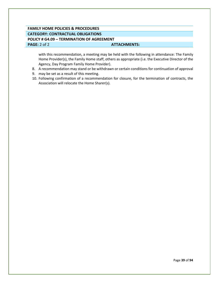# **FAMILY HOME POLICIES & PROCEDURES CATEGORY: CONTRACTUAL OBLIGATIONS POLICY # G4.09 – TERMINATION OF AGREEMENT PAGE:** 2 of 2 **ATTACHMENTS:**

with this recommendation, a meeting may be held with the following in attendance: The Family Home Provider(s), the Family Home staff, others as appropriate (i.e. the Executive Director of the Agency, Day Program Family Home Provider).

- 8. A recommendation may stand or be withdrawn or certain conditions for continuation of approval
- 9. may be set as a result of this meeting.
- 10. Following confirmation of a recommendation for closure, for the termination of contracts, the Association will relocate the Home Sharer(s).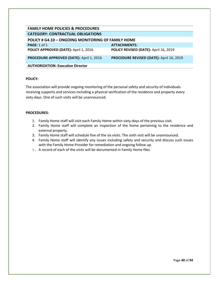| <b>FAMILY HOME POLICIES &amp; PROCEDURES</b>              |                                          |
|-----------------------------------------------------------|------------------------------------------|
| <b>CATEGORY: CONTRACTUAL OBLIGATIONS</b>                  |                                          |
| <b>POLICY # G4.10 - ONGOING MONITORING OF FAMILY HOME</b> |                                          |
| PAGE: $1$ of $1$                                          | <b>ATTACHMENTS:</b>                      |
| POLICY APPROVED (DATE): April 1, 2016                     | POLICY REVISED (DATE): April 16, 2019    |
| <b>PROCEDURE APPROVED (DATE): April 1, 2016</b>           | PROCEDURE REVISED (DATE): April 16, 2019 |
| <b>AUTHORIZATION: Executive Director</b>                  |                                          |

The association will provide ongoing monitoring of the personal safety and security of individuals receiving supports and services including a physical verification of the residence and property every sixty-days. One of such visits will be unannounced.

- 1. Family Home staff will visit each Family Home within sixty-days of the previous visit.
- 2. Family Home staff will complete an inspection of the home pertaining to the residence and external property.
- 3. Family Home staff will schedule five of the six visits. The sixth visit will be unannounced.
- 4. Family Home staff will identify any issues including safety and security and discuss such issues with the Family Home Provider for remediation and ongoing follow up.
- 5. A record of each of the visits will be documented in Family Home files.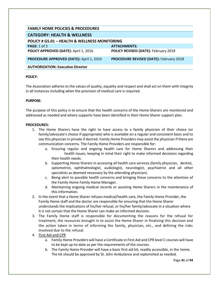| <b>FAMILY HOME POLICIES &amp; PROCEDURES</b>             |                                                |
|----------------------------------------------------------|------------------------------------------------|
| <b>CATEGORY: HEALTH &amp; WELLNESS</b>                   |                                                |
| <b>POLICY # G5.01 - HEALTH &amp; WELLNESS MONITORING</b> |                                                |
| <b>PAGE: 1 of 3</b>                                      | <b>ATTACHMENTS:</b>                            |
| POLICY APPROVED (DATE): April 1, 2016                    | <b>POLICY REVISED (DATE): February 2018</b>    |
| PROCEDURE APPROVED (DATE): April 1, 2016                 | <b>PROCEDURE REVISED (DATE): February 2018</b> |
| <b>AUTHORIZATION: Executive Director</b>                 |                                                |

The Association adheres to the values of quality, equality and respect and shall act on them with integrity in all instances including when the provision of medical care is required.

# **PURPOSE:**

The purpose of this policy is to ensure that the health concerns of the Home Sharers are monitored and addressed as needed and where supports have been identified in their Home Sharer support plan.

## **PROCEDURES:**

- 1. The Home Sharers have the right to have access to a family physician of their choice (or family/advocate's choice if appropriate) who is available on a regular and consistent basis and to see this physician in private if desired. Family Home Providers may assist the physician if there are communication concerns. The Family Home Providers are responsible for:
	- a. Ensuring regular and ongoing health care for Home Sharers and addressing their health issues, keeping in mind their right to make informed decisions regarding their health needs.
	- b. Supporting Home Sharers in accessing all health care services (family physician, dentist, optometrist, ophthalmologist, audiologist, neurologist, psychiatrist and all other specialists as deemed necessary by the attending physician).
	- c. Being alert to possible health concerns and bringing these concerns to the attention of the Family Home Family Home Manager.
	- d. Maintaining ongoing medical records or assisting Home Sharers in the maintenance of this information.
- 2. In the event that a Home Sharer refuses medical/health care, the Family Home Provider, the Family Home staff and the doctor are responsible for ensuring that the Home Sharer understands the implications of his/her refusal, or his/her family/advocate in a situation where it is not certain that the Home Sharer can make an informed decision.
- 3. The Family Home staff is responsible for documenting the reasons for the refusal for treatment, the resources brought in to assist the Home Sharer in finalizing this decision and the action taken in terms of informing the family, physician, etc., and defining the risks involved due to the refusal.
- 4. First Aid and CPR
	- a. Family Home Providers will have a Certificate in First Aid and CPR level C courses will have to be kept up-to-date as per the requirements of the courses.
	- b. The Family Home Provider will have a basic first aid kit, readily accessible, in the home. The kit should be approved by St. John Ambulance and replenished as needed.

Page **41** of **94**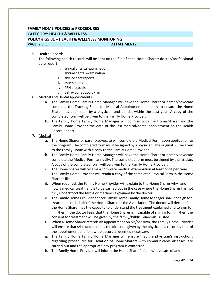# **FAMILY HOME POLICIES & PROCEDURES CATEGORY: HEALTH & WELLNESS POLICY # G5.01 – HEALTH & WELLNESS MONITORING PAGE:** 2 of 3 **ATTACHMENTS:**

## 5. Health Records

The following health records will be kept on the file of each Home Sharer: doctor/professional care report

- i. annual physical examination
- ii. annual dental examination
- iii. any incident reports
- iv. assessments
- v. PRN protocols
- vi. Behaviour Support Plan
- 6. Medical and Dental Appointments
	- a. The Family Home Family Home Manager will have the Home Sharer or parent/advocate complete the Tracking Sheet for Medical Appointments annually to ensure the Home Sharer has been seen by a physician and dentist within the past year. A copy of the completed form will be given to the Family Home Provider.
	- b. The Family Home Family Home Manager will confirm with the Home Sharer and the Family Home Provider the date of the last medical/dental appointment on the Health Record Report.
- 7. Medical
	- a. The Home Sharer or parent/advocate will complete a Medical Form upon application to the program. The completed form must be signed by a physician. The original will be given to the Family Home with a copy to the Family Home Provider.
	- b. The Family Home Family Home Manager will have the Home Sharer or parent/advocate complete the Medical Form annually. The completed form must be signed by a physician. A copy of the completed form will be given to the Family Home Provider.
	- c. The Home Sharer will receive a complete medical examination at least once per year. The Family Home Provider will retain a copy of the completed Physical Form in the Home Sharer's file.
	- d. When required, the Family Home Provider will explain to the Home Sharer why and how a medical treatment is to be carried out in the case where the Home Sharer has not fully understood the terms or methods explained by the doctor.
	- e. The Family Home Provider and/or Family Home Family Home Manager shall not sign for treatments on behalf of the Home Sharer or the Association. The doctor will decide if the Home Sharer has the capacity to understand the treatment explained and to sign for him/her. If the doctor feels that the Home Sharer is incapable of signing for him/her, the consent for treatment will be given by the family/Public Guardian Trustee.
	- f. When a Home Sharer attends an appointment on his/her own, the Family Home Provider will ensure that s/he understands the direction given by the physician, a record is kept of the appointment and follow-up occurs as deemed necessary.
	- g. The Family Home Family Home Manager will ensure that the physician's instructions regarding procedures for 'isolation of Home Sharers with communicable diseases' are carried out and the appropriate day program is contacted.
	- h. The Family Home Provider will inform the Home Sharer's family/advocate of any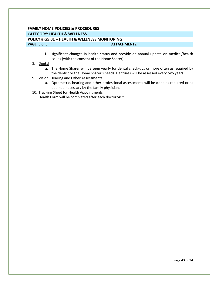# **FAMILY HOME POLICIES & PROCEDURES CATEGORY: HEALTH & WELLNESS POLICY # G5.01 – HEALTH & WELLNESS MONITORING PAGE:** 3 of 3 **ATTACHMENTS: ATTACHMENTS:**

- i. significant changes in health status and provide an annual update on medical/health issues (with the consent of the Home Sharer).
- 8. Dental
	- a. The Home Sharer will be seen yearly for dental check-ups or more often as required by the dentist or the Home Sharer's needs. Dentures will be assessed every two years.
- 9. Vision, Hearing and Other Assessments
	- a. Optometric, hearing and other professional assessments will be done as required or as deemed necessary by the family physician.
- 10. Tracking Sheet for Health Appointments

Health Form will be completed after each doctor visit.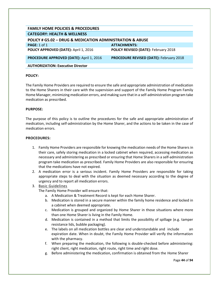| <b>FAMILY HOME POLICIES &amp; PROCEDURES</b>                             |                                                |
|--------------------------------------------------------------------------|------------------------------------------------|
| <b>CATEGORY: HEALTH &amp; WELLNESS</b>                                   |                                                |
| <b>POLICY # G5.02 - DRUG &amp; MEDICATION ADMINISTRATION &amp; ABUSE</b> |                                                |
| PAGE: $1$ of $1$                                                         | <b>ATTACHMENTS:</b>                            |
| POLICY APPROVED (DATE): April 1, 2016                                    | <b>POLICY REVISED (DATE): February 2018</b>    |
| PROCEDURE APPROVED (DATE): April 1, 2016                                 | <b>PROCEDURE REVISED (DATE): February 2018</b> |
| <b>AUTHORIZATION: Executive Director</b>                                 |                                                |

The Family Home Providers are required to ensure the safe and appropriate administration of medication to the Home Sharers in their care with the supervision and support of the Family Home Program Family Home Manager, minimizing medication errors, and making sure that in a self-administration program take medication as prescribed.

## **PURPOSE:**

The purpose of this policy is to outline the procedures for the safe and appropriate administration of medication, including self-administration by the Home Sharer, and the actions to be taken in the case of medication errors.

#### **PROCEDURES:**

- 1. Family Home Providers are responsible for knowing the medication needs of the Home Sharers in their care, safely storing medication in a locked cabinet when required, accessing medication as necessary and administering as prescribed or ensuring that Home Sharers in a self-administration program take medication as prescribed. Family Home Providers are also responsible for ensuring that the medications have not expired.
- 2. A medication error is a serious incident. Family Home Providers are responsible for taking appropriate steps to deal with the situation as deemed necessary according to the degree of urgency and to report all medication errors.

# 3. Basic Guidelines

The Family Home Provider will ensure that:

- a. A Medication & Treatment Record is kept for each Home Sharer.
- b. Medication is stored in a secure manner within the family home residence and locked in a cabinet when deemed appropriate.
- c. Medication is grouped and organized by Home Sharer in those situations where more than one Home Sharer is living in the Family Home.
- d. Medication is contained in a method that limits the possibility of spillage (e.g. tamper resistance lids, bubble packaging).
- e. The labels on all medication bottles are clear and understandable and include and expiration date. When in doubt, the Family Home Provider will verify the information with the pharmacy.
- f. When preparing the medication, the following is double-checked before administering: right client, right medication, right route, right time and right dose.
- g. Before administering the medication, confirmation is obtained from the Home Sharer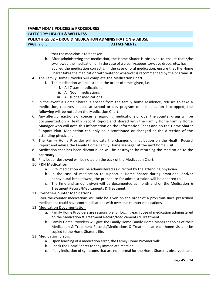# **FAMILY HOME POLICIES & PROCEDURES CATEGORY: HEALTH & WELLNESS POLICY # G5.02 – DRUG & MEDICATION ADMINISTRATION & ABUSE PAGE:** 2 of 3 **ATTACHMENTS: ATTACHMENTS:**

that the medicine is to be taken.

- h. After administering the medication, the Home Sharer is observed to ensure that s/he swallowed the medication or in the case of a cream/suppository/eye drops, etc., has applied the medication correctly. In the case of oral medication, ensure that the Home Sharer takes the medication with water or whatever is recommended by the pharmacist
- 4. The Family Home Provider will complete the Medication Chart.
	- i. The medication will be listed in the order of times given, i.e.
		- i. All 7 a.m. medications
		- ii. All Noon medications
		- iii. All supper medications
- 5. In the event a Home Sharer is absent from the family home residence, refuses to take a medication, receives a dose at school or day program or a medication is dropped, the following will be noted on the Medication Chart.
- 6. Any allergic reactions or concerns regarding medications or over the counter drugs will be documented on a Health Record Report and shared with the Family Home Family Home Manager who will note this information on the Information Sheet and on the Home Sharer Support Plan. Medication can only be discontinued or changed at the direction of the attending physician.
- 7. The Family Home Provider will indicate the changes of medication on the Health Record Report and advise the Family Home Family Home Manager at the next home visit.
- 8. Medication that has been discontinued will be destroyed by returning the medication to the pharmacy.
- 9. Pills lost or destroyed will be noted on the back of the Medication Chart.
- 10. PRN Medication
	- a. PRN medication will be administered as directed by the attending physician.
	- b. In the case of medication to support a Home Sharer during emotional and/or behavioural breakdowns, the procedure for administration will be adhered to.
	- c. The time and amount given will be documented at month end on the Medication & Treatment Record/Medicaments & Treatment.
- 11. Over-the-Counter Medications

Over-the-counter medications will only be given on the order of a physician since prescribed medications could have contraindications with over-the-counter medications.

- 12. Medication Documentation
	- a. Family Home Providers are responsible for logging each dose of medication administered on the Medication & Treatment Record/Medicaments & Treatment.
	- b. Family Home Providers will give the Family Home Family Home Manager copies of their Medication & Treatment Records/Medications & Treatment at each home visit, to be copied to the Home Sharer's file.
- 13. Medication Errors
	- a. Upon learning of a medication error, the Family Home Provider will:
	- b. Check the Home Sharer for any immediate reaction.
	- c. If any indication of symptoms that are not normal for the Home Sharer is observed, take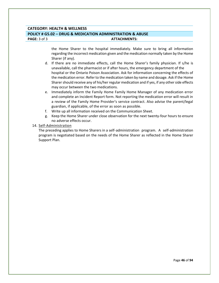# **CATEGORY: HEALTH & WELLNESS POLICY # G5.02 – DRUG & MEDICATION ADMINISTRATION & ABUSE PAGE:** 3 of 3 **ATTACHMENTS:**

the Home Sharer to the hospital immediately. Make sure to bring all information regarding the incorrect medication given and the medication normally taken by the Home Sharer (if any).

- d. If there are no immediate effects, call the Home Sharer's family physician. If s/he is unavailable, call the pharmacist or if after hours, the emergency department of the hospital or the Ontario Poison Association. Ask for information concerning the effects of the medication error. Refer to the medication taken by name and dosage. Ask if the Home Sharer should receive any of his/her regular medication and if yes, if any other side effects may occur between the two medications.
- e. Immediately inform the Family Home Family Home Manager of any medication error and complete an Incident Report form. Not reporting the medication error will result in a review of the Family Home Provider's service contract. Also advise the parent/legal guardian, if applicable, of the error as soon as possible.
- f. Write up all information received on the Communication Sheet.
- g. Keep the Home Sharer under close observation for the next twenty-four hours to ensure no adverse effects occur.

## 14. Self-Administration

The preceding applies to Home Sharers in a self-administration program. A self-administration program is negotiated based on the needs of the Home Sharer as reflected in the Home Sharer Support Plan.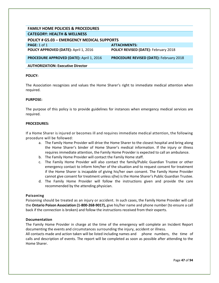| <b>FAMILY HOME POLICIES &amp; PROCEDURES</b>       |                                                |
|----------------------------------------------------|------------------------------------------------|
| <b>CATEGORY: HEALTH &amp; WELLNESS</b>             |                                                |
|                                                    |                                                |
| <b>POLICY # G5.03 - EMERGENCY MEDICAL SUPPORTS</b> |                                                |
| PAGE: $1$ of $1$                                   | <b>ATTACHMENTS:</b>                            |
| POLICY APPROVED (DATE): April 1, 2016              | POLICY REVISED (DATE): February 2018           |
| PROCEDURE APPROVED (DATE): April 1, 2016           | <b>PROCEDURE REVISED (DATE): February 2018</b> |
| <b>AUTHORIZATION: Executive Director</b>           |                                                |

The Association recognizes and values the Home Sharer's right to immediate medical attention when required.

#### **PURPOSE:**

The purpose of this policy is to provide guidelines for instances when emergency medical services are required.

#### **PROCEDURES:**

If a Home Sharer is injured or becomes ill and requires immediate medical attention, the following procedure will be followed:

- a. The Family Home Provider will drive the Home Sharer to the closest hospital and bring along the Home Sharer's binder of Home Sharer's medical information. If the injury or illness requires immediate attention, the Family Home Provider is expected to call an ambulance.
- b. The Family Home Provider will contact the Family Home staff.
- c. The Family Home Provider will also contact the family/Public Guardian Trustee or other emergency contact to inform him/her of the situation and to request consent for treatment if the Home Sharer is incapable of giving his/her own consent. The Family Home Provider cannot give consent for treatment unless s(he) is the Home Sharer's Public Guardian Trustee.
- d. The Family Home Provider will follow the instructions given and provide the care recommended by the attending physician.

#### **Poisoning**

Poisoning should be treated as an injury or accident. In such cases, the Family Home Provider will call the **Ontario Poison Association (1-800-268-9017),** give his/her name and phone number (to ensure a call back if the connection is broken) and follow the instructions received from their experts.

#### **Documentation**

The Family Home Provider in charge at the time of the emergency will complete an Incident Report documenting the events and circumstances surrounding the injury, accident or illness.

All contacts made and action taken will be listed including names and phone numbers, the time of calls and description of events. The report will be completed as soon as possible after attending to the Home Sharer.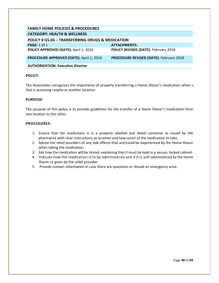| <b>FAMILY HOME POLICIES &amp; PROCEDURES</b>                |                                                |
|-------------------------------------------------------------|------------------------------------------------|
| <b>CATEGORY: HEALTH &amp; WELLNESS</b>                      |                                                |
| <b>POLICY # G5.04 - TRANSFERRING DRUGS &amp; MEDICATION</b> |                                                |
| PAGE: 1 of 1                                                | <b>ATTACHMENTS:</b>                            |
| POLICY APPROVED (DATE): April 1, 2016                       | POLICY REVISED (DATE): February 2018           |
| PROCEDURE APPROVED (DATE): April 1, 2016                    | <b>PROCEDURE REVISED (DATE): February 2018</b> |
| <b>AUTHORIZATION: Executive Director</b>                    |                                                |

The Association recognizes the importance of properly transferring a Home Sharer's medication when s (he) is accessing respite at another location.

## **PURPOSE:**

The purpose of this policy is to provide guidelines for the transfer of a Home Sharer's medication from one location to the other.

- 1. Ensure that the medication is in a properly labelled and dated container as issued by the pharmacist with clear instructions as to when and how much of the medication to take.
- 2. Advise the relief providers of any side effects that are/could be experienced by the Home Sharer when taking the medication.
- 3. Ask how the medication will be stored, explaining that it must be kept in a secure, locked cabinet.
- 4. Indicate how the medication is to be administered and if it is self-administered by the Home Sharer or given by the relief provider.
- 5. Provide contact information in case there are questions or should an emergency arise.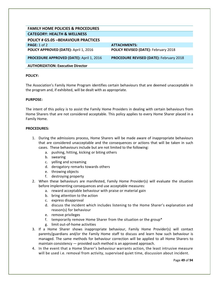| <b>FAMILY HOME POLICIES &amp; PROCEDURES</b>    |                                                |
|-------------------------------------------------|------------------------------------------------|
| <b>CATEGORY: HEALTH &amp; WELLNESS</b>          |                                                |
| <b>POLICY # G5.05 -BEHAVIOUR PRACTICES</b>      |                                                |
| PAGE: 1 of 2                                    | <b>ATTACHMENTS:</b>                            |
| POLICY APPROVED (DATE): April 1, 2016           | POLICY REVISED (DATE): February 2018           |
| <b>PROCEDURE APPROVED (DATE): April 1, 2016</b> | <b>PROCEDURE REVISED (DATE): February 2018</b> |
| <b>AUTHORIZATION: Executive Director</b>        |                                                |

The Association's Family Home Program identifies certain behaviours that are deemed unacceptable in the program and, if exhibited, will be dealt with as appropriate.

## **PURPOSE:**

The intent of this policy is to assist the Family Home Providers in dealing with certain behaviours from Home Sharers that are not considered acceptable. This policy applies to every Home Sharer placed in a Family Home.

- 1. During the admissions process, Home Sharers will be made aware of inappropriate behaviours that are considered unacceptable and the consequences or actions that will be taken in such cases. These behaviours include but are not limited to the following:
	- a. pushing, hitting, kicking or biting others
	- b. swearing
	- c. yelling and screaming
	- d. derogatory remarks towards others
	- e. throwing objects
	- f. destroying property
- 2. When these behaviours are manifested, Family Home Provider(s) will evaluate the situation before implementing consequences and use acceptable measures:
	- a. reward acceptable behaviour with praise or material gain
	- b. bring attention to the action
	- c. express disapproval
	- d. discuss the incident which includes listening to the Home Sharer's explanation and reason(s) for behaviour
	- e. remove privileges
	- f. temporarily remove Home Sharer from the situation or the group\*
	- g. limit out-of-home activities
- 3. If a Home Sharer shows inappropriate behaviour, Family Home Provider(s) will contact parents/guardians and/or the Family Home staff to discuss and learn how such behaviour is managed. The same methods for behaviour correction will be applied to all Home Sharers to maintain consistency — provided such method is an approved approach.
- 4. In the event that a Home Sharer's behaviour warrants action, the least intrusive measure will be used i.e. removal from activity, supervised quiet time, discussion about incident.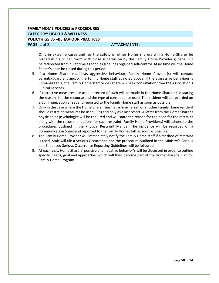# **FAMILY HOME POLICIES & PROCEDURES CATEGORY: HEALTH & WELLNESS POLICY # G5.05 –BEHAVIOUR PRACTICES PAGE:** 2 of 2 **ATTACHMENTS: ATTACHMENTS:**

Only in extreme cases and for the safety of other Home Sharers will a Home Sharer be placed in his or her room with close supervision by the Family Home Provider(s). S(he) will be redirected from quiet time as soon as s(he) has regained self-control. At no time will the Home Sharer's door be closed during this period.

- 5. If a Home Sharer manifests aggressive behaviour, Family Home Provider(s) will contact parents/guardians and/or the Family Home staff as noted above. If the aggressive behaviour is unmanageable, the Family Home staff or designate will seek consultation from the Association's Clinical Services.
- 6. If corrective measures are used, a record of such will be made in the Home Sharer's file stating the reasons for the recourse and the type of consequence used. The incident will be recorded on a Communication Sheet and reported to the Family Home staff as soon as possible.
- 7. Only in the case where the Home Sharer may harm him/herself or another Family Home resident should restraint measures be used (CPI) and only as a last resort. A letter from the Home Sharer's physician or psychologist will be required and will state the reason for the need for the restraint along with the recommendations for such restraint. Family Home Provider(s) will adhere to the procedures outlined in the Physical Restraint Manual. The incidence will be recorded on a Communication Sheet and reported to the Family Home staff as soon as possible.
- 8. The Family Home Provider will immediately notify the Family Home staff if a method of restraint is used. Staff will file a Serious Occurrence and the procedure outlined in the Ministry's Serious and Enhanced Serious Occurrence Reporting Guidelines will be followed.
- 9. At each visit, Home Sharers' positive and negative behavior's will be discussed in order to outline specific needs, goal and approaches which will then become part of the Home Sharer's Plan for Family Home Program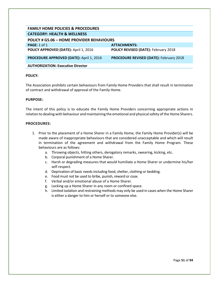| <b>FAMILY HOME POLICIES &amp; PROCEDURES</b>     |                                                |
|--------------------------------------------------|------------------------------------------------|
| <b>CATEGORY: HEALTH &amp; WELLNESS</b>           |                                                |
| <b>POLICY # G5.06 - HOME PROVIDER BEHAVIOURS</b> |                                                |
| <b>PAGE: 1 of 1</b>                              | <b>ATTACHMENTS:</b>                            |
| POLICY APPROVED (DATE): April 1, 2016            | POLICY REVISED (DATE): February 2018           |
| PROCEDURE APPROVED (DATE): April 1, 2016         | <b>PROCEDURE REVISED (DATE): February 2018</b> |
| <b>AUTHORIZATION: Executive Director</b>         |                                                |

The Association prohibits certain behaviours from Family Home Providers that shall result in termination of contract and withdrawal of approval of the Family Home.

## **PURPOSE:**

The intent of this policy is to educate the Family Home Providers concerning appropriate actions in relation to dealing with behaviour and maintaining the emotional and physical safety of the Home Sharers.

- 1. Prior to the placement of a Home Sharer in a Family Home, the Family Home Provider(s) will be made aware of inappropriate behaviours that are considered unacceptable and which will result in termination of the agreement and withdrawal from the Family Home Program. These behaviours are as follows:
	- a. Throwing objects, hitting others, derogatory remarks, swearing, kicking, etc.
	- b. Corporal punishment of a Home Sharer.
	- c. Harsh or degrading measures that would humiliate a Home Sharer or undermine his/her self-respect.
	- d. Deprivation of basic needs including food, shelter, clothing or bedding.
	- e. Food must not be used to bribe, punish, reward or coax.
	- f. Verbal and/or emotional abuse of a Home Sharer.
	- g. Locking up a Home Sharer in any room or confined space.
	- h. Limited isolation and restraining methods may only be used in cases when the Home Sharer is either a danger to him or herself or to someone else.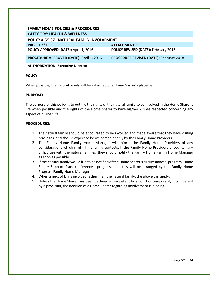| <b>FAMILY HOME POLICIES &amp; PROCEDURES</b>      |                                                |
|---------------------------------------------------|------------------------------------------------|
| <b>CATEGORY: HEALTH &amp; WELLNESS</b>            |                                                |
| <b>POLICY # G5.07 -NATURAL FAMILY INVOLVEMENT</b> |                                                |
| <b>PAGE: 1 of 1</b>                               | <b>ATTACHMENTS:</b>                            |
| POLICY APPROVED (DATE): April 1, 2016             | POLICY REVISED (DATE): February 2018           |
| PROCEDURE APPROVED (DATE): April 1, 2016          | <b>PROCEDURE REVISED (DATE): February 2018</b> |
| <b>AUTHORIZATION: Executive Director</b>          |                                                |

When possible, the natural family will be informed of a Home Sharer's placement.

#### **PURPOSE:**

The purpose of this policy is to outline the rights of the natural family to be involved in the Home Sharer's life when possible and the rights of the Home Sharer to have his/her wishes respected concerning any aspect of his/her life.

- 1. The natural family should be encouraged to be involved and made aware that they have visiting privileges, and should expect to be welcomed openly by the Family Home Providers.
- 2. The Family Home Family Home Manager will inform the Family Home Providers of any considerations which might limit family contacts. If the Family Home Providers encounter any difficulties with the natural families, they should notify the Family Home Family Home Manager as soon as possible.
- 3. If the natural family would like to be notified of the Home Sharer's circumstances, program, Home Sharer Support Plan, conferences, progress, etc., this will be arranged by the Family Home Program Family Home Manager.
- 4. When a next of kin is involved rather than the natural family, the above can apply.
- 5. Unless the Home Sharer has been declared incompetent by a court or temporarily incompetent by a physician, the decision of a Home Sharer regarding involvement is binding.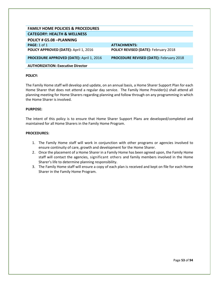| <b>FAMILY HOME POLICIES &amp; PROCEDURES</b>    |                                                |
|-------------------------------------------------|------------------------------------------------|
| <b>CATEGORY: HEALTH &amp; WELLNESS</b>          |                                                |
| <b>POLICY # G5.08 -PLANNING</b>                 |                                                |
| PAGE: 1 of 1                                    | <b>ATTACHMENTS:</b>                            |
| POLICY APPROVED (DATE): April 1, 2016           | POLICY REVISED (DATE): February 2018           |
| <b>PROCEDURE APPROVED (DATE): April 1, 2016</b> | <b>PROCEDURE REVISED (DATE): February 2018</b> |
| <b>AUTHORIZATION: Executive Director</b>        |                                                |

The Family Home staff will develop and update, on an annual basis, a Home Sharer Support Plan for each Home Sharer that does not attend a regular day service. The Family Home Provider(s) shall attend all planning meeting for Home Sharers regarding planning and follow through on any programming in which the Home Sharer is involved.

## **PURPOSE:**

The intent of this policy is to ensure that Home Sharer Support Plans are developed/completed and maintained for all Home Sharers in the Family Home Program.

- 1. The Family Home staff will work in conjunction with other programs or agencies involved to ensure continuity of care, growth and development for the Home Sharer.
- 2. Once the placement of a Home Sharer in a Family Home has been agreed upon, the Family Home staff will contact the agencies, significant others and family members involved in the Home Sharer's life to determine planning responsibility.
- 3. The Family Home staff will ensure a copy of each plan is received and kept on file for each Home Sharer in the Family Home Program.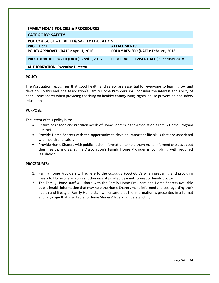| <b>FAMILY HOME POLICIES &amp; PROCEDURES</b>          |                                                |
|-------------------------------------------------------|------------------------------------------------|
| <b>CATEGORY: SAFETY</b>                               |                                                |
| <b>POLICY # G6.01 - HEALTH &amp; SAFETY EDUCATION</b> |                                                |
| PAGE: 1 of 1                                          | <b>ATTACHMENTS:</b>                            |
| POLICY APPROVED (DATE): April 1, 2016                 | POLICY REVISED (DATE): February 2018           |
| PROCEDURE APPROVED (DATE): April 1, 2016              | <b>PROCEDURE REVISED (DATE): February 2018</b> |
|                                                       |                                                |
| <b>AUTHORIZATION: Executive Director</b>              |                                                |

The Association recognizes that good health and safety are essential for everyone to learn, grow and develop. To this end, the Association's Family Home Providers shall consider the interest and ability of each Home Sharer when providing coaching on healthy eating/living, rights, abuse prevention and safety education.

## **PURPOSE:**

The intent of this policy is to:

- Ensure basic food and nutrition needs of Home Sharers in the Association's Family Home Program are met.
- Provide Home Sharers with the opportunity to develop important life skills that are associated with health and safety.
- Provide Home Sharers with public health information to help them make informed choices about their health; and assist the Association's Family Home Provider in complying with required legislation.

- 1. Family Home Providers will adhere to the *Canada's Food Guide* when preparing and providing meals to Home Sharers unless otherwise stipulated by a nutritionist or family doctor.
- 2. The Family Home staff will share with the Family Home Providers and Home Sharers available public health information that may help the Home Sharers make informed choices regarding their health and lifestyle. Family Home staff will ensure that the information is presented in a format and language that is suitable to Home Sharers' level of understanding.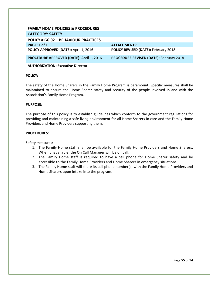| <b>FAMILY HOME POLICIES &amp; PROCEDURES</b>    |                                                |
|-------------------------------------------------|------------------------------------------------|
| <b>CATEGORY: SAFETY</b>                         |                                                |
| <b>POLICY # G6.02 - BEHAVIOUR PRACTICES</b>     |                                                |
| <b>PAGE: 1 of 1</b>                             | <b>ATTACHMENTS:</b>                            |
| POLICY APPROVED (DATE): April 1, 2016           | POLICY REVISED (DATE): February 2018           |
| <b>PROCEDURE APPROVED (DATE): April 1, 2016</b> | <b>PROCEDURE REVISED (DATE): February 2018</b> |
| <b>AUTHORIZATION: Executive Director</b>        |                                                |

The safety of the Home Sharers in the Family Home Program is paramount. Specific measures shall be maintained to ensure the Home Sharer safety and security of the people involved in and with the Association's Family Home Program.

## **PURPOSE:**

The purpose of this policy is to establish guidelines which conform to the government regulations for providing and maintaining a safe living environment for all Home Sharers in care and the Family Home Providers and Home Providers supporting them.

#### **PROCEDURES:**

Safety measures:

- 1. The Family Home staff shall be available for the Family Home Providers and Home Sharers. When unavailable, the On Call Manager will be on call.
- 2. The Family Home staff is required to have a cell phone for Home Sharer safety and be accessible to the Family Home Providers and Home Sharers in emergency situations.
- 3. The Family Home staff will share its cell phone number(s) with the Family Home Providers and Home Sharers upon intake into the program.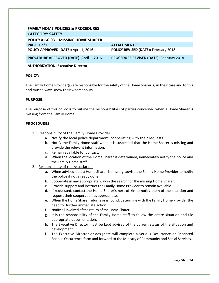| <b>FAMILY HOME POLICIES &amp; PROCEDURES</b>    |                                                |
|-------------------------------------------------|------------------------------------------------|
| <b>CATEGORY: SAFETY</b>                         |                                                |
| POLICY # G6.03 - MISSING HOME SHARER            |                                                |
| PAGE: $1$ of $1$                                | <b>ATTACHMENTS:</b>                            |
| POLICY APPROVED (DATE): April 1, 2016           | POLICY REVISED (DATE): February 2018           |
| <b>PROCEDURE APPROVED (DATE): April 1, 2016</b> | <b>PROCEDURE REVISED (DATE): February 2018</b> |
| <b>AUTHORIZATION: Executive Director</b>        |                                                |

The Family Home Provider(s) are responsible for the safety of the Home Sharer(s) in their care and to this end must always know their whereabouts.

## **PURPOSE:**

The purpose of this policy is to outline the responsibilities of parties concerned when a Home Sharer is missing from the Family Home.

- 1. Responsibility of the Family Home Provider
	- a. Notify the local police department, cooperating with their requests.
	- b. Notify the Family Home staff when it is suspected that the Home Sharer is missing and provide the relevant information.
	- c. Remain available for contact.
	- d. When the location of the Home Sharer is determined, immediately notify the police and the Family Home staff.
- 2. Responsibility of the Association
	- a. When advised that a Home Sharer is missing, advise the Family Home Provider to notify the police if not already done.
	- b. Cooperate in any appropriate way in the search for the missing Home Sharer.
	- c. Provide support and instruct the Family Home Provider to remain available.
	- d. If requested, contact the Home Sharer's next of kin to notify them of the situation and request their cooperation as appropriate.
	- e. When the Home Sharer returns or is found, determine with the Family Home Provider the need for further immediate action.
	- f. Notify all involved of the return of the Home Sharer.
	- g. It is the responsibility of the Family Home staff to follow the entire situation and file appropriate documentation.
	- h. The Executive Director must be kept advised of the current status of the situation and development.
	- i. The Executive Director or designate will complete a Serious Occurrence or Enhanced Serious Occurrence form and forward to the Ministry of Community and Social Services.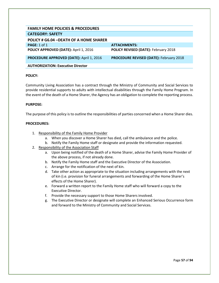| <b>FAMILY HOME POLICIES &amp; PROCEDURES</b> |                                                |
|----------------------------------------------|------------------------------------------------|
| <b>CATEGORY: SAFETY</b>                      |                                                |
| POLICY # G6.04 - DEATH OF A HOME SHARER      |                                                |
| <b>PAGE: 1 of 1</b>                          | <b>ATTACHMENTS:</b>                            |
| POLICY APPROVED (DATE): April 1, 2016        | <b>POLICY REVISED (DATE): February 2018</b>    |
| PROCEDURE APPROVED (DATE): April 1, 2016     | <b>PROCEDURE REVISED (DATE): February 2018</b> |
| <b>AUTHORIZATION: Executive Director</b>     |                                                |

Community Living Association has a contract through the Ministry of Community and Social Services to provide residential supports to adults with intellectual disabilities through the Family Home Program. In the event of the death of a Home Sharer, the Agency has an obligation to complete the reporting process.

## **PURPOSE:**

The purpose of this policy is to outline the responsibilities of parties concerned when a Home Sharer dies.

- 1. Responsibility of the Family Home Provider
	- a. When you discover a Home Sharer has died, call the ambulance and the police.
	- b. Notify the Family Home staff or designate and provide the information requested.
- 2. Responsibility of the Association Staff
	- a. Upon being notified of the death of a Home Sharer, advise the Family Home Provider of the above process, if not already done.
	- b. Notify the Family Home staff and the Executive Director of the Association.
	- c. Arrange for the notification of the next of kin.
	- d. Take other action as appropriate to the situation including arrangements with the next of kin (i.e. provision for funeral arrangements and forwarding of the Home Sharer's effects of the Home Sharer).
	- e. Forward a written report to the Family Home staff who will forward a copy to the Executive Director.
	- f. Provide the necessary support to those Home Sharers involved.
	- g. The Executive Director or designate will complete an Enhanced Serious Occurrence form and forward to the Ministry of Community and Social Services.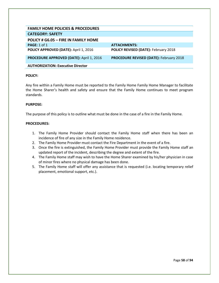| <b>FAMILY HOME POLICIES &amp; PROCEDURES</b>    |                                                |
|-------------------------------------------------|------------------------------------------------|
| <b>CATEGORY: SAFETY</b>                         |                                                |
| POLICY # G6.05 - FIRE IN FAMILY HOME            |                                                |
| <b>PAGE: 1 of 1</b>                             | <b>ATTACHMENTS:</b>                            |
| POLICY APPROVED (DATE): April 1, 2016           | POLICY REVISED (DATE): February 2018           |
| <b>PROCEDURE APPROVED (DATE): April 1, 2016</b> | <b>PROCEDURE REVISED (DATE): February 2018</b> |
| <b>AUTHORIZATION: Executive Director</b>        |                                                |

Any fire within a Family Home must be reported to the Family Home Family Home Manager to facilitate the Home Sharer's health and safety and ensure that the Family Home continues to meet program standards.

## **PURPOSE:**

The purpose of this policy is to outline what must be done in the case of a fire in the Family Home.

- 1. The Family Home Provider should contact the Family Home staff when there has been an incidence of fire of any size in the Family Home residence.
- 2. The Family Home Provider must contact the Fire Department in the event of a fire.
- 3. Once the fire is extinguished, the Family Home Provider must provide the Family Home staff an updated report of the incident, describing the degree and extent of the fire.
- 4. The Family Home staff may wish to have the Home Sharer examined by his/her physician in case of minor fires where no physical damage has been done.
- 5. The Family Home staff will offer any assistance that is requested (i.e. locating temporary relief placement, emotional support, etc.).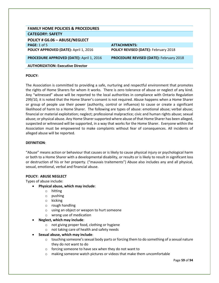| <b>FAMILY HOME POLICIES &amp; PROCEDURES</b>    |                                                |
|-------------------------------------------------|------------------------------------------------|
| <b>CATEGORY: SAFETY</b>                         |                                                |
| POLICY # G6.06 - ABUSE/NEGLECT                  |                                                |
| <b>PAGE: 1 of 5</b>                             | <b>ATTACHMENTS:</b>                            |
| POLICY APPROVED (DATE): April 1, 2016           | POLICY REVISED (DATE): February 2018           |
| <b>PROCEDURE APPROVED (DATE): April 1, 2016</b> | <b>PROCEDURE REVISED (DATE): February 2018</b> |
| <b>AUTHORIZATION: Executive Director</b>        |                                                |

The Association is committed to providing a safe, nurturing and respectful environment that promotes the rights of Home Sharers for whom it works. There is zero tolerance of abuse or neglect of any kind. Any "witnessed" abuse will be reported to the local authorities in compliance with Ontario Regulation 299/10, it is noted that the Home Sharer's consent is not required. Abuse happens when a Home Sharer or group of people use their power (authority, control or influence) to cause or create a significant likelihood of harm to a Home Sharer. The following are types of abuse: emotional abuse; verbal abuse; financial or material exploitation; neglect; professional malpractice; civic and human rights abuse; sexual abuse; or physical abuse. Any Home Sharersupported where abuse of that Home Sharer has been alleged, suspected or witnessed will be supported, in a way that works for the Home Sharer. Everyone within the Association must be empowered to make complaints without fear of consequences. All incidents of alleged abuse will be reported.

#### **DEFINITION**:

"Abuse" means action or behaviour that causes or is likely to cause physical injury or psychological harm or both to a Home Sharer with a developmental disability, or results or is likely to result in significant loss or destruction of his or her property. ("mauvais traitements") Abuse also includes any and all physical, sexual, emotional, verbal and financial abuse.

#### **POLICY: ABUSE NEGLECT**

Types of abuse include:

- **Physical abuse, which may include**:
	- o hitting
	- o pushing
	- o kicking
	- o rough handling
	- o using an object or weapon to hurt someone
	- o wrong use of medication
- **Neglect, which may include**:
	- o not giving proper food, clothing or hygiene
	- o not taking care of health and safety needs
- **Sexual abuse, which may include**:
	- $\circ$  touching someone's sexual body parts or forcing them to do something of a sexual nature they do not want to do
	- o forcing someone to have sex when they do not want to
	- o making someone watch pictures or videos that make them uncomfortable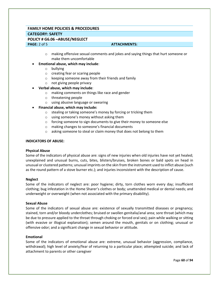# **FAMILY HOME POLICIES & PROCEDURES CATEGORY: SAFETY POLICY # G6.06 –ABUSE/NEGLECT PAGE:** 2 of 5 **ATTACHMENTS: ATTACHMENTS:**

 $\circ$  making offensive sexual comments and jokes and saying things that hurt someone or make them uncomfortable

#### • **Emotional abuse, which may include**:

- o bullying
- o creating fear or scaring people
- o keeping someone away from their friends and family
- o not giving people privacy

# • **Verbal abuse, which may include**:

- o making comments on things like race and gender
- o threatening people
- o using abusive language or swearing
- **Financial abuse, which may include:** 
	- o stealing or taking someone's money by forcing or tricking them
	- o using someone's money without asking them
	- o forcing someone to sign documents to give their money to someone else
	- o making changes to someone's financial documents
	- o asking someone to steal or claim money that does not belong to them

#### **INDICATORS OF ABUSE:**

#### **Physical Abuse**

Some of the indicators of physical abuse are: signs of new injuries when old injuries have not yet healed; unexplained and unusual burns, cuts, bites, blisters/bruises, broken bones or bald spots on head in unusual or clustered patterns; unusual imprints on the skin from the instrument used to inflict abuse (such as the round pattern of a stove burner etc.); and injuries inconsistent with the description of cause.

#### **Neglect**

Some of the indicators of neglect are: poor hygiene; dirty, torn clothes worn every day; insufficient clothing; bug infestation in the Home Sharer's clothes or body; unattended medical or dental needs; and underweight or overweight (when not associated with the primary disability).

#### **Sexual Abuse**

Some of the indicators of sexual abuse are: existence of sexually transmitted diseases or pregnancy; stained, torn and/or bloody underclothes; bruised or swollen genitalia/anal area; sore throat (which may be due to pressure applied to the throat through choking or forced oral sex); pain while walking or sitting (with evasive or illogical explanation); semen around the mouth, genitals or on clothing; unusual or offensive odor; and a significant change in sexual behavior or attitude.

#### **Emotional**

Some of the indicators of emotional abuse are: extreme, unusual behavior (aggression, compliance, withdrawal); high level of anxiety/fear of returning to a particular place; attempted suicide; and lack of attachment to parents or other caregiver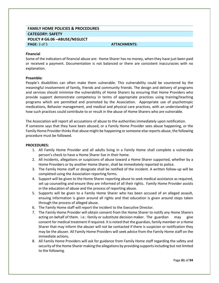# **FAMILY HOME POLICIES & PROCEDURES CATEGORY: SAFETY POLICY # G6.06 –ABUSE/NEGLECT PAGE:** 3 of 5 **ATTACHMENTS: ATTACHMENTS:**

#### **Financial**

Some of the indicators of financial abuse are: Home Sharer has no money, when they have just been paid or received a payment. Documentation is not balanced or there are consistent inaccuracies with no explanation.

#### **Preamble:**

People's disabilities can often make them vulnerable. This vulnerability could be countered by the meaningful involvement of family, friends and community friends. The design and delivery of programs and services should minimize the vulnerability of Home Sharers by ensuring that Home Providers who provide support demonstrate competency in terms of appropriate practices using training/teaching programs which are permitted and promoted by the Association. Appropriate use of psychotropic medications, Behavior management, and medical and physical care practices, with an understanding of how such practices could contribute to or result in the abuse of Home Sharers who are vulnerable.

The Association will report all accusations of abuse to the authorities immediately upon notification. If someone says that they have been abused, or a Family Home Provider sees abuse happening, or the Family Home Provider thinks that abuse might be happening or someone else reports abuse, the following procedure must be followed.

- 1. All Family Home Provider and all adults living in a Family Home shall complete a vulnerable person's check to have a Home Sharer live in their home.
- 2. All incidents, allegations or suspicions of abuse toward a Home Sharer supported, whether by a Home Providers or by another Home Sharer, shall be immediately reported to police.
- 3. The Family Home staff or designate shall be notified of the incident. A written follow-up will be completed using the Association reporting forms.
- 4. Support will be given to the Home Sharer reporting abuse to seek medical assistance as required, set up counseling and ensure they are informed of all their rights. Family Home Provider assists in the education of abuse and the process of reporting abuse.
- 5. Supports will be given to a Family Home Sharer who has been accused of an alleged assault, ensuing information is given around all rights and that education is given around steps taken through the process of alleged abuse.
- 6. The Family Home staff will report the incident to the Executive Director.
- 7. The Family Home Provider will obtain consent from the Home Sharer to notify any Home Sharers acting on behalf of them. i.e.: family or substitute decision maker. The guardian may give consent for medical treatment if required. It is noted that the guardian, family member or a Home Sharer that may inform the abuser will not be contacted if there is suspicion or notification they may be the abuser. All Family Home Providers will seek advice from the Family Home staff on the immediate actions.
- 8. All Family Home Providers will ask for guidance from Family Home staff regarding the safety and security of the Home Sharer making the allegations by providing supports including but not limited to the following.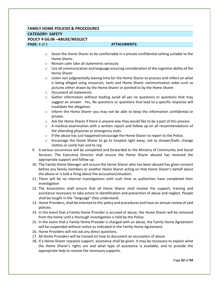# **FAMILY HOME POLICIES & PROCEDURES CATEGORY: SAFETY POLICY # G6.06 –ABUSE/NEGLECT PAGE:** 4 of 5 **ATTACHMENTS: ATTACHMENTS:**

- $\circ$  Assist the Home Sharer to be comfortable in a private confidential setting suitable to the Home Sharer.
- o Remain calm take all statements seriously
- $\circ$  Use all communication and language ensuring consideration of the cognitive ability of the Home Sharer.
- $\circ$  Listen non judgmentally leaving time for the Home Sharer to process and reflect on what is being alleged using resources, tools and Home Sharer communication aides such as pictures either drawn by the Home Sharer or pointed to by the Home Sharer.
- o Document all statements
- $\circ$  Gather information without leading avoid all yes no questions or questions that may suggest an answer. Yes, No questions or questions that lead to a specific response will invalidate the allegation.
- $\circ$  Inform the Home Sharer you may not be able to keep the information confidential or private.
- $\circ$  Ask the Home Sharer if there is anyone else they would like to be a part of this process
- $\circ$  A medical examination with a written report and follow up on all recommendations of the attending physician or emergency visits.
- $\circ$  If the abuse has just happened encourage the Home Sharer to report to the Police.
- $\circ$  Encourage the Home Sharer to go to hospital right away, not to shower/bath, change clothes or comb hair and to rep
- 9. A serious occurrence will be completed and forwarded to the Ministry of Community and Social Services. The Executive Director shall ensure the Home Sharer abused has received the appropriate support and follow up.
- 10. The Family Home Manager will ensure the Home Sharer who has been abused has given consent before any family members or another Home Sharer acting on that Home Sharer's behalf about the abuse or is told a thing about the accusation/situation.
- 11. There will be no internal investigations until such time as authorities have completed their investigation
- 12. The Association shall ensure that all Home Sharer shall receive the support, training and assistance necessary to take action in identification and prevention of abuse and neglect. People shall be taught in the "language" they understand.
- 13. Home Providers, shall be oriented to this policy and procedures and have an annual review of said policies.
- 14. In the event that a Family Home Provider is accused of abuse, the Home Sharer will be removed from the home until a thorough investigation is held by the Police.
- 15. In the event that a Family Home Provider is charged with an abuse, the Family Home Agreement will be suspended without notice as indicated in the Family Home Agreement.
- 16. Home Providers will not ask any direct questions.
- 17. All Home Providers will be trained on how to document an accusation of abuse.
- 18. If a Home Sharer requests support, assistance shall be given. It may be necessary to explain what the Home Sharer's rights are and what type of assistance is available, and to provide the appropriate help to receive the necessary supports.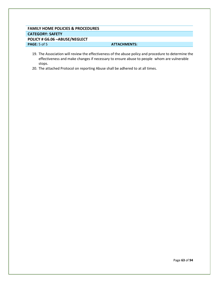# **FAMILY HOME POLICIES & PROCEDURES CATEGORY: SAFETY POLICY # G6.06 –ABUSE/NEGLECT PAGE:**  $5$  of  $5$  **ATTACHMENTS: ATTACHMENTS:**

- 19. The Association will review the effectiveness of the abuse policy and procedure to determine the effectiveness and make changes if necessary to ensure abuse to people whom are vulnerable stops.
- 20. The attached Protocol on reporting Abuse shall be adhered to at all times.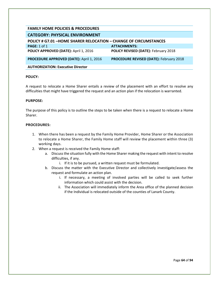| <b>FAMILY HOME POLICIES &amp; PROCEDURES</b>                            |                                                |
|-------------------------------------------------------------------------|------------------------------------------------|
| <b>CATEGORY: PHYSICAL ENVIRONMENT</b>                                   |                                                |
| <b>POLICY # G7.01 -HOME SHARER RELOCATION - CHANGE OF CIRCUMSTANCES</b> |                                                |
| <b>PAGE: 1 of 1</b>                                                     | <b>ATTACHMENTS:</b>                            |
| POLICY APPROVED (DATE): April 1, 2016                                   | POLICY REVISED (DATE): February 2018           |
| PROCEDURE APPROVED (DATE): April 1, 2016                                | <b>PROCEDURE REVISED (DATE): February 2018</b> |
| <b>AUTHORIZATION: Executive Director</b>                                |                                                |
|                                                                         |                                                |

A request to relocate a Home Sharer entails a review of the placement with an effort to resolve any difficulties that might have triggered the request and an action plan if the relocation is warranted.

#### **PURPOSE:**

The purpose of this policy is to outline the steps to be taken when there is a request to relocate a Home Sharer.

- 1. When there has been a request by the Family Home Provider, Home Sharer or the Association to relocate a Home Sharer, the Family Home staff will review the placement within three (3) working days.
- 2. When a request is received the Family Home staff:
	- a. Discuss the situation fully with the Home Sharer making the request with intent to resolve difficulties, if any.
		- i. If it is to be pursued, a written request must be formulated.
	- b. Discuss the matter with the Executive Director and collectively investigate/assess the request and formulate an action plan.
		- i. If necessary, a meeting of involved parties will be called to seek further information which could assist with the decision.
		- ii. The Association will immediately inform the Area office of the planned decision if the Individual is relocated outside of the counties of Lanark County.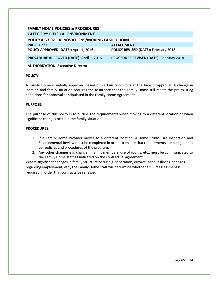| <b>FAMILY HOME POLICIES &amp; PROCEDURES</b>    |                                                |
|-------------------------------------------------|------------------------------------------------|
| <b>CATEGORY: PHYSICAL ENVIRONMENT</b>           |                                                |
| POLICY # G7.02 - RENOVATIONS/MOVING FAMILY HOME |                                                |
| PAGE: $1$ of $1$                                | <b>ATTACHMENTS:</b>                            |
| POLICY APPROVED (DATE): April 1, 2016           | POLICY REVISED (DATE): February 2018           |
| <b>PROCEDURE APPROVED (DATE): April 1, 2016</b> | <b>PROCEDURE REVISED (DATE): February 2018</b> |
| <b>AUTHORIZATION: Executive Director</b>        |                                                |

A Family Home is initially approved based on certain conditions at the time of approval. A change in location and family situation requires the assurance that the Family Home still meets the pre-existing conditions for approval as stipulated in the Family Home Agreement.

## **PURPOSE:**

The purpose of this policy is to outline the requirements when moving to a different location or when significant changes occur in the family situation.

## **PROCEDURES:**

- 1. If a Family Home Provider moves to a different location, a Home Study, Fire Inspection and Environmental Review must be completed in order to ensure that requirements are being met as per policies and procedures of the program.
- 2. Any other changes e.g. change in family members, use of rooms, etc., must be communicated to the Family Home staff as indicated on the contractual agreement.

Where significant changes in family structure occur e.g. separation, divorce, serious illness, changes regarding employment, etc., the Family Home staff will determine whether a full reassessment is required in order that contracts be renewed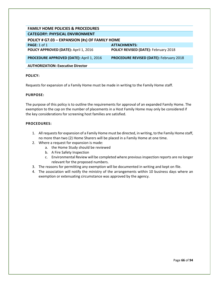| <b>FAMILY HOME POLICIES &amp; PROCEDURES</b>    |                                                |
|-------------------------------------------------|------------------------------------------------|
| <b>CATEGORY: PHYSICAL ENVIRONMENT</b>           |                                                |
| POLICY # G7.03 - EXPANSION (#s) OF FAMILY HOME  |                                                |
| <b>PAGE: 1 of 1</b>                             | <b>ATTACHMENTS:</b>                            |
| POLICY APPROVED (DATE): April 1, 2016           | POLICY REVISED (DATE): February 2018           |
| <b>PROCEDURE APPROVED (DATE): April 1, 2016</b> | <b>PROCEDURE REVISED (DATE): February 2018</b> |
| <b>AUTHORIZATION: Executive Director</b>        |                                                |

Requests for expansion of a Family Home must be made in writing to the Family Home staff.

# **PURPOSE:**

The purpose of this policy is to outline the requirements for approval of an expanded Family Home. The exemption to the cap on the number of placements in a Host Family Home may only be considered if the key considerations for screening host families are satisfied.

- 1. All requests for expansion of a Family Home must be directed, in writing, to the Family Home staff, no more than two (2) Home Sharers will be placed in a Family Home at one time.
- 2. Where a request for expansion is made:
	- a. the Home Study should be reviewed
	- b. A Fire Safety Inspection
	- c. Environmental Review will be completed where previous inspection reports are no longer relevant for the proposed numbers.
- 3. The reasons for permitting any exemption will be documented in writing and kept on file.
- 4. The association will notify the ministry of the arrangements within 10 business days where an exemption or extenuating circumstance was approved by the agency.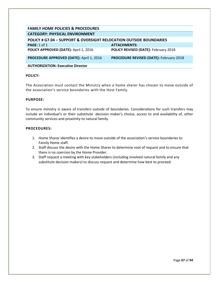| <b>FAMILY HOME POLICIES &amp; PROCEDURES</b>                                  |                                                |  |
|-------------------------------------------------------------------------------|------------------------------------------------|--|
| <b>CATEGORY: PHYSICAL ENVIRONMENT</b>                                         |                                                |  |
| <b>POLICY # G7.04 - SUPPORT &amp; OVERSIGHT RELOCATION OUTSIDE BOUNDARIES</b> |                                                |  |
| <b>PAGE: 1 of 1</b>                                                           | <b>ATTACHMENTS:</b>                            |  |
| POLICY APPROVED (DATE): April 1, 2016                                         | POLICY REVISED (DATE): February 2018           |  |
| PROCEDURE APPROVED (DATE): April 1, 2016                                      | <b>PROCEDURE REVISED (DATE): February 2018</b> |  |
| <b>AUTHORIZATION: Executive Director</b>                                      |                                                |  |

The Association must contact the Ministry when a home sharer has chosen to move outside of the association's service boundaries with the Host Family.

## **PURPOSE:**

To ensure ministry is aware of transfers outside of boundaries. Considerations for such transfers may include an individual's or their substitute -decision maker's choice, access to and availability of, other community services and proximity to natural family.

- 1. Home Sharer identifies a desire to move outside of the association's service boundaries to Family Home staff.
- 2. Staff discuss the desire with the Home Sharer to determine root of request and to ensure that there is no coercion by the Home Provider.
- 3. Staff request a meeting with key stakeholders (including involved natural family and any substitute decision makers) to discuss request and determine how best to proceed.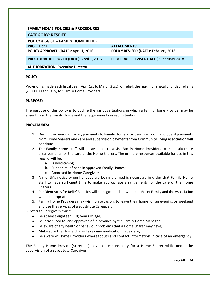| <b>FAMILY HOME POLICIES &amp; PROCEDURES</b> |                                                |
|----------------------------------------------|------------------------------------------------|
| <b>CATEGORY: RESPITE</b>                     |                                                |
| <b>POLICY # G8.01 - FAMILY HOME RELIEF</b>   |                                                |
| <b>PAGE: 1 of 1</b>                          | <b>ATTACHMENTS:</b>                            |
| POLICY APPROVED (DATE): April 1, 2016        | <b>POLICY REVISED (DATE): February 2018</b>    |
| PROCEDURE APPROVED (DATE): April 1, 2016     | <b>PROCEDURE REVISED (DATE): February 2018</b> |
| <b>AUTHORIZATION: Executive Director</b>     |                                                |

Provision is made each fiscal year (April 1st to March 31st) for relief, the maximum fiscally funded relief is \$1,000.00 annually, for Family Home Providers.

# **PURPOSE:**

The purpose of this policy is to outline the various situations in which a Family Home Provider may be absent from the Family Home and the requirements in each situation.

## **PROCEDURES:**

- 1. During the period of relief, payments to Family Home Providers (i.e. room and board payments from Home Sharers and care and supervision payments from Community Living Association will continue.
- 2. The Family Home staff will be available to assist Family Home Providers to make alternate arrangements for the care of the Home Sharers. The primary resources available for use in this regard will be:
	- a. Funded camps;
	- b. Funded relief beds in approved Family Homes;
	- c. Approved In-Home Caregivers.
- 3. A month's notice when holidays are being planned is necessary in order that Family Home staff to have sufficient time to make appropriate arrangements for the care of the Home Sharers.
- 4. Per Diem rates for Relief Families will be negotiated between the Relief Family and the Association when appropriate.
- 5. Family Home Providers may wish, on occasion, to leave their home for an evening or weekend and use the services of a substitute Caregiver.

Substitute Caregivers must:

- Be at least eighteen (18) years of age;
- Be introduced to, and approved of in advance by the Family Home Manager;
- Be aware of any health or behaviour problems that a Home Sharer may have;
- Make sure the Home Sharer takes any medication necessary;
- Be aware of Home Providers whereabouts and contact information in case of an emergency.

The Family Home Provider(s) retain(s) overall responsibility for a Home Sharer while under the supervision of a substitute Caregiver.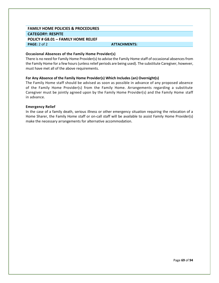# **FAMILY HOME POLICIES & PROCEDURES CATEGORY: RESPITE POLICY # G8.01 – FAMILY HOME RELIEF PAGE:** 2 of 2 **ATTACHMENTS: ATTACHMENTS:**

## **Occasional Absences of the Family Home Provider(s)**

There is no need for Family Home Provider(s) to advise the Family Home staff of occasional absences from the Family Home for a few hours (unless relief periods are being used). The substitute Caregiver, however, must have met all of the above requirements.

## **For Any Absence of the Family Home Provider(s) Which Includes (an) Overnight(s)**

The Family Home staff should be advised as soon as possible in advance of any proposed absence of the Family Home Provider(s) from the Family Home. Arrangements regarding a substitute Caregiver must be jointly agreed upon by the Family Home Provider(s) and the Family Home staff in advance.

#### **Emergency Relief**

In the case of a family death, serious illness or other emergency situation requiring the relocation of a Home Sharer, the Family Home staff or on-call staff will be available to assist Family Home Provider(s) make the necessary arrangements for alternative accommodation.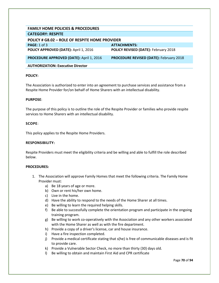| <b>FAMILY HOME POLICIES &amp; PROCEDURES</b>    |                                                |
|-------------------------------------------------|------------------------------------------------|
| <b>CATEGORY: RESPITE</b>                        |                                                |
| POLICY # G8.02 - ROLE OF RESPITE HOME PROVIDER  |                                                |
| <b>PAGE: 1 of 3</b>                             | <b>ATTACHMENTS:</b>                            |
| POLICY APPROVED (DATE): April 1, 2016           | <b>POLICY REVISED (DATE): February 2018</b>    |
| <b>PROCEDURE APPROVED (DATE): April 1, 2016</b> | <b>PROCEDURE REVISED (DATE): February 2018</b> |
| <b>AUTHORIZATION: Executive Director</b>        |                                                |

The Association is authorized to enter into an agreement to purchase services and assistance from a Respite Home Provider for/on behalf of Home Sharers with an intellectual disability.

## **PURPOSE**:

The purpose of this policy is to outline the role of the Respite Provider or families who provide respite services to Home Sharers with an intellectual disability.

## **SCOPE**:

This policy applies to the Respite Home Providers.

#### **RESPONSIBILITY:**

Respite Providers must meet the eligibility criteria and be willing and able to fulfill the role described below.

- 1. The Association will approve Family Homes that meet the following criteria. The Family Home Provider must:
	- a) Be 18 years of age or more.
	- b) Own or rent his/her own home.
	- c) Live in the home.
	- d) Have the ability to respond to the needs of the Home Sharer at all times.
	- e) Be willing to learn the required helping skills.
	- f) Be able to successfully complete the orientation program and participate in the ongoing training program.
	- g) Be willing to work co-operatively with the Association and any other workers associated with the Home Sharer as well as with the fire department.
	- h) Provide a copy of a driver's license, car and house insurance.
	- i) Have a fire inspection completed.
	- j) Provide a medical certificate stating that s(he) is free of communicable diseases and is fit to provide care.
	- k) Provide a Vulnerable Sector Check, no more than thirty (30) days old.
	- l) Be willing to obtain and maintain First Aid and CPR certificate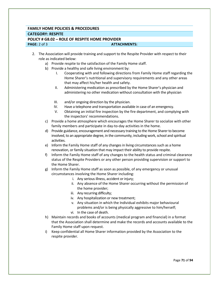# **FAMILY HOME POLICIES & PROCEDURES CATEGORY: RESPITE POLICY # G8.02 – ROLE OF RESPITE HOME PROVIDER PAGE:** 2 of 3 **ATTACHMENTS:**

- 2. The Association will provide training and support to the Respite Provider with respect to their role as indicated below:
	- a) Provide respite to the satisfaction of the Family Home staff.
	- b) Provide a healthy and safe living environment by:
		- I. Cooperating with and following directions from Family Home staff regarding the Home Sharer's nutritional and supervisory requirements and any other areas that may affect his/her health and safety.
		- II. Administering medication as prescribed by the Home Sharer's physician and administering no other medication without consultation with the physician
		- III. and/or ongoing direction by the physician.
		- IV. Have a telephone and transportation available in case of an emergency.
		- V. Obtaining an initial fire inspection by the fire department, and complying with the inspectors' recommendations.
	- c) Provide a home atmosphere which encourages the Home Sharer to socialize with other family members and participate in day-to-day activities in the home.
	- d) Provide guidance, encouragement and necessary training to the Home Sharerto become involved, to an appropriate degree, in the community, including work, school and spiritual activities.
	- e) Inform the Family Home staff of any changes in living circumstances such as a home renovation, or family situation that may impact their ability to provide respite.
	- f) Inform the Family Home staff of any changes to the health status and criminal clearance status of the Respite Providers or any other person providing supervision or support to the Home Sharer.
	- g) Inform the Family Home staff as soon as possible, of any emergency or unusual circumstances involving the Home Sharer including:
		- i. Any serious illness, accident or injury;
		- ii. Any absence of the Home Sharer occurring without the permission of the home provider;
		- iii. Any recurring difficulty;
		- iv. Any hospitalization or new treatment;
		- v. Any situation in which the Individual exhibits major behavioural problems and/or is being physically aggressive to him/herself;
		- vi. In the case of death.
	- h) Maintain records and books of accounts (medical program and financial) in a format that the Association shall determine and make the records and accounts available to the Family Home staff upon request.
	- i) Keep confidential all Home Sharer information provided by the Association to the respite provider.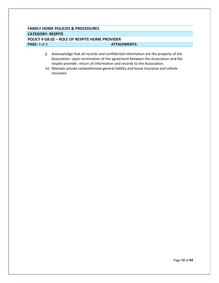# **FAMILY HOME POLICIES & PROCEDURES CATEGORY: RESPITE POLICY # G8.02 – ROLE OF RESPITE HOME PROVIDER PAGE:** 3 of 3 **ATTACHMENTS: ATTACHMENTS:**

- j) Acknowledge that all records and confidential information are the property of the Association. Upon termination of the agreement between the Association and the respite provider, return all information and records to the Association.
- m) Maintain private comprehensive general liability and house insurance and vehicle insurance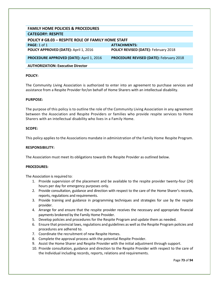| <b>FAMILY HOME POLICIES &amp; PROCEDURES</b>              |                                                |
|-----------------------------------------------------------|------------------------------------------------|
| <b>CATEGORY: RESPITE</b>                                  |                                                |
| <b>POLICY # G8.03 - RESPITE ROLE OF FAMILY HOME STAFF</b> |                                                |
| PAGE: 1 of 1                                              | <b>ATTACHMENTS:</b>                            |
| POLICY APPROVED (DATE): April 1, 2016                     | <b>POLICY REVISED (DATE): February 2018</b>    |
| <b>PROCEDURE APPROVED (DATE): April 1, 2016</b>           | <b>PROCEDURE REVISED (DATE): February 2018</b> |
| <b>AUTHORIZATION: Executive Director</b>                  |                                                |

The Community Living Association is authorized to enter into an agreement to purchase services and assistance from a Respite Provider for/on behalf of Home Sharers with an intellectual disability.

#### **PURPOSE:**

The purpose of this policy is to outline the role of the Community Living Association in any agreement between the Association and Respite Providers or families who provide respite services to Home Sharers with an intellectual disability who lives in a Family Home.

#### **SCOPE:**

This policy applies to the Associations mandate in administration of the Family Home Respite Program.

#### **RESPONSIBILITY:**

The Association must meet its obligations towards the Respite Provider as outlined below.

#### **PROCEDURES:**

The Association is required to:

- 1. Provide supervision of the placement and be available to the respite provider twenty-four (24) hours per day for emergency purposes only.
- 2. Provide consultation, guidance and direction with respect to the care of the Home Sharer's records, reports, regulations and requirements.
- 3. Provide training and guidance in programming techniques and strategies for use by the respite provider.
- 4. Arrange for and ensure that the respite provider receives the necessary and appropriate financial payments brokered by the Family Home Provider.
- 5. Develop policies and procedures for the Respite Program and update them as needed.
- 6. Ensure that provincial laws, regulations and guidelines as well as the Respite Program policies and procedures are adhered to.
- 7. Coordinate the recruitment of new Respite Homes.
- 8. Complete the approval process with the potential Respite Provider.
- 9. Assist the Home Sharer and Respite Provider with the initial adjustment through support.
- 10. Provide consultation, guidance and direction to the Respite Provider with respect to the care of the Individual including records, reports, relations and requirements.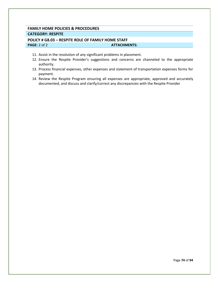# **FAMILY HOME POLICIES & PROCEDURES CATEGORY: RESPITE**

# **POLICY # G8.03 – RESPITE ROLE OF FAMILY HOME STAFF PAGE:** 2 of 2 **ATTACHMENTS:**

- 11. Assist in the resolution of any significant problems in placement.
- 12. Ensure the Respite Provider's suggestions and concerns are channeled to the appropriate authority.
- 13. Process financial expenses, other expenses and statement of transportation expenses forms for payment.
- 14. Review the Respite Program ensuring all expenses are appropriate, approved and accurately documented, and discuss and clarify/correct any discrepancies with the Respite Provider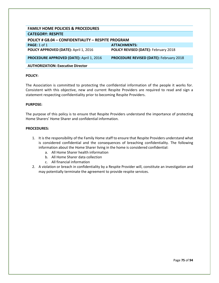| <b>FAMILY HOME POLICIES &amp; PROCEDURES</b>              |                                                |  |
|-----------------------------------------------------------|------------------------------------------------|--|
| <b>CATEGORY: RESPITE</b>                                  |                                                |  |
| <b>POLICY # G8.04 - CONFIDENTIALITY - RESPITE PROGRAM</b> |                                                |  |
| <b>PAGE: 1 of 1</b>                                       | ATTACHMENTS:                                   |  |
| POLICY APPROVED (DATE): April 1, 2016                     | POLICY REVISED (DATE): February 2018           |  |
| <b>PROCEDURE APPROVED (DATE): April 1, 2016</b>           | <b>PROCEDURE REVISED (DATE): February 2018</b> |  |
| <b>AUTHORIZATION: Executive Director</b>                  |                                                |  |

The Association is committed to protecting the confidential information of the people it works for. Consistent with this objective, new and current Respite Providers are required to read and sign a statement respecting confidentiality prior to becoming Respite Providers.

#### **PURPOSE:**

The purpose of this policy is to ensure that Respite Providers understand the importance of protecting Home Sharers' Home Sharer and confidential information.

- 1. It is the responsibility of the Family Home staff to ensure that Respite Providers understand what is considered confidential and the consequences of breaching confidentiality. The following information about the Home Sharer living in the home is considered confidential:
	- a. All Home Sharer health information
	- b. All Home Sharer data collection
	- c. All financial information
- 2. A violation or breach in confidentiality by a Respite Provider will, constitute an investigation and may potentially terminate the agreement to provide respite services.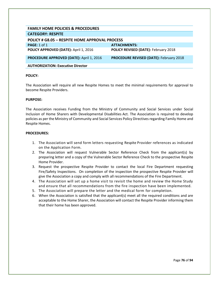| <b>FAMILY HOME POLICIES &amp; PROCEDURES</b>          |                                                |
|-------------------------------------------------------|------------------------------------------------|
| <b>CATEGORY: RESPITE</b>                              |                                                |
| <b>POLICY # G8.05 - RESPITE HOME APPROVAL PROCESS</b> |                                                |
| PAGE: $1$ of $1$                                      | <b>ATTACHMENTS:</b>                            |
| POLICY APPROVED (DATE): April 1, 2016                 | <b>POLICY REVISED (DATE): February 2018</b>    |
| <b>PROCEDURE APPROVED (DATE): April 1, 2016</b>       | <b>PROCEDURE REVISED (DATE): February 2018</b> |
| <b>AUTHORIZATION: Executive Director</b>              |                                                |

The Association will require all new Respite Homes to meet the minimal requirements for approval to become Respite Providers.

#### **PURPOSE:**

The Association receives Funding from the Ministry of Community and Social Services under Social Inclusion of Home Sharers with Developmental Disabilities Act. The Association is required to develop policies as per the Ministry of Community and Social Services Policy Directives regarding Family Home and Respite Homes.

- 1. The Association will send form letters requesting Respite Provider references as indicated on the Application Form.
- 2. The Association will request Vulnerable Sector Reference Check from the applicant(s) by preparing letter and a copy of the Vulnerable Sector Reference Check to the prospective Respite Home Provider.
- 3. Request the prospective Respite Provider to contact the local Fire Department requesting Fire/Safety Inspections. On completion of the inspection the prospective Respite Provider will give the Association a copy and comply with all recommendations of the Fire Department.
- 4. The Association will set up a home visit to revisit the home and review the Home Study and ensure that all recommendations from the fire inspection have been implemented.
- 5. The Association will prepare the letter and the medical form for completion.
- 6. When the Association is satisfied that the applicant(s) meet all the required conditions and are acceptable to the Home Sharer, the Association will contact the Respite Provider informing them that their home has been approved.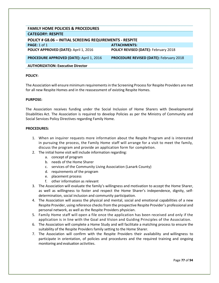| <b>FAMILY HOME POLICIES &amp; PROCEDURES</b>             |                                                |
|----------------------------------------------------------|------------------------------------------------|
| <b>CATEGORY: RESPITE</b>                                 |                                                |
| POLICY # G8.06 - INITIAL SCREEING REQUIREMENTS - RESPITE |                                                |
| PAGE: $1$ of $1$                                         | <b>ATTACHMENTS:</b>                            |
| POLICY APPROVED (DATE): April 1, 2016                    | <b>POLICY REVISED (DATE): February 2018</b>    |
| <b>PROCEDURE APPROVED (DATE): April 1, 2016</b>          | <b>PROCEDURE REVISED (DATE): February 2018</b> |
| <b>AUTHORIZATION: Executive Director</b>                 |                                                |

The Association will ensure minimum requirements in the Screening Process for Respite Providers are met for all new Respite Homes and in the reassessment of existing Respite Homes.

#### **PURPOSE:**

The Association receives funding under the Social Inclusion of Home Sharers with Developmental Disabilities Act. The Association is required to develop Policies as per the Ministry of Community and Social Services Policy Directives regarding Family Home.

- 1. When an inquirer requests more information about the Respite Program and is interested in pursuing the process, the Family Home staff will arrange for a visit to meet the family, discuss the program and provide an application form for completion.
- 2. The initial home visit will include information regarding:
	- a. concept of program
	- b. needs of the Home Sharer
	- c. services of the Community Living Association (Lanark County)
	- d. requirements of the program
	- e. placement process
	- f. other information as relevant
- 3. The Association will evaluate the family's willingness and motivation to accept the Home Sharer, as well as willingness to foster and respect the Home Sharer's independence, dignity, selfdetermination, social inclusion and community participation.
- 4. The Association will assess the physical and mental, social and emotional capabilities of a new Respite Provider, using reference checks from the prospective Respite Provider's professional and personal network, as well as the Respite Providers physician.
- 5. Family Home staff will open a file once the application has been received and only if the application is in line with the Goal and Vision and Guiding Principles of the Association.
- 6. The Association will complete a Home Study and will facilitate a matching process to ensure the suitability of the Respite Providers family setting to the Home Sharer.
- 7. The Association will confirm with the Respite Providers their availability and willingness to participate in orientation, of policies and procedures and the required training and ongoing monitoring and evaluation activities.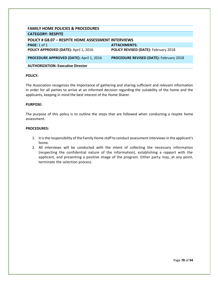| <b>FAMILY HOME POLICIES &amp; PROCEDURES</b>               |                                                |
|------------------------------------------------------------|------------------------------------------------|
| <b>CATEGORY: RESPITE</b>                                   |                                                |
| <b>POLICY # G8.07 - RESPITE HOME ASSESSMENT INTERVIEWS</b> |                                                |
| PAGE: 1 of 1                                               | <b>ATTACHMENTS:</b>                            |
| POLICY APPROVED (DATE): April 1, 2016                      | POLICY REVISED (DATE): February 2018           |
| <b>PROCEDURE APPROVED (DATE): April 1, 2016</b>            | <b>PROCEDURE REVISED (DATE): February 2018</b> |
| <b>AUTHORIZATION: Executive Director</b>                   |                                                |

The Association recognizes the importance of gathering and sharing sufficient and relevant information in order for all parties to arrive at an informed decision regarding the suitability of the home and the applicants, keeping in mind the best interest of the Home Sharer.

#### **PURPOSE:**

The purpose of this policy is to outline the steps that are followed when conducting a respite home assessment.

- 1. It is the responsibility of the Family Home staff to conduct assessment interviews in the applicant's home.
- 2. All interviews will be conducted with the intent of collecting the necessary information (respecting the confidential nature of the information), establishing a rapport with the applicant, and presenting a positive image of the program. Either party may, at any point, terminate the selection process.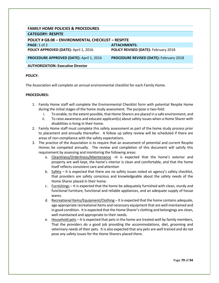| <b>FAMILY HOME POLICIES &amp; PROCEDURES</b>              |                                                |  |
|-----------------------------------------------------------|------------------------------------------------|--|
| <b>CATEGORY: RESPITE</b>                                  |                                                |  |
| <b>POLICY # G8.08 - ENVIRONMENTAL CHECKLIST - RESPITE</b> |                                                |  |
| PAGE: $1$ of $2$                                          | <b>ATTACHMENTS:</b>                            |  |
| POLICY APPROVED (DATE): April 1, 2016                     | <b>POLICY REVISED (DATE): February 2018</b>    |  |
| PROCEDURE APPROVED (DATE): April 1, 2016                  | <b>PROCEDURE REVISED (DATE): February 2018</b> |  |
| <b>AUTHORIZATION: Executive Director</b>                  |                                                |  |

The Association will complete an annual environmental checklist for each Family Home.

- 1. Family Home staff will complete the Environmental Checklist form with potential Respite Home during the initial stages of the home study assessment. The purpose is two-fold:
	- i. To enable, to the extent possible, that Home Sharers are placed in a safe environment; and
	- ii. To raise awareness and educate applicant(s) about safety issues when a Home Sharer with disabilities is living in their home.
- 2. Family Home staff must complete this safety assessment as part of the home study process prior to placement and annually thereafter. A follow up safety review will be scheduled if there are areas of non-compliance with the safety expectations.
- 3. The practice of the Association is to require that an assessment of potential and current Respite Homes be competed annually. The review and completion of this document will satisfy this requirement by assessing and monitoring the following areas:
	- a. Cleanliness/Orderliness/Maintenance –It is expected that the home's exterior and property are well kept, the home's interior is clean and comfortable, and that the home itself reflects consistent care and attention
	- b. Safety It is expected that there are no safety issues noted on agency's safety checklist, that providers are safety conscious and knowledgeable about the safety needs of the Home Sharer placed in their home.
	- c.  $F_{\text{turnishing}}$  It is expected that the home be adequately furnished with clean, sturdy and functional furniture, functional and reliable appliances, and an adequate supply of house wares.
	- d. Recreational Items/Equipment/Clothing It is expected that the home contains adequate, age appropriate recreational items and necessary equipment that are well maintained and in good condition. It is expected that the Home Sharer's clothing and belongings are clean, well maintained and appropriate to their needs.
	- e. Household pets It is expected that pets in the home are treated well by family members, That the providers do a good job providing the accommodations, diet, grooming and veterinary needs of their pets. It is also expected that any pets are well trained and do not pose any safety issues for the Home Sharers placed there.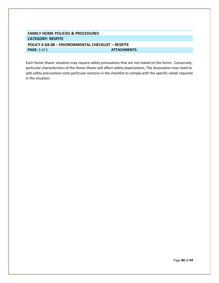# **FAMILY HOME POLICIES & PROCEDURES CATEGORY: RESPITE POLICY # G8.08 – ENVIRONMENTAL CHECKLIST – RESPITE ATTACHMENTS:**

Each Home Sharer situation may require safety precautions that are not stated on the forms. Conversely, particular characteristics of the Home Sharer will affect safety expectations, The Association may need to add safety precautions onto particular sections in the checklist to comply with the specific needs required in the situation.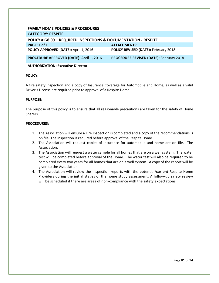| <b>FAMILY HOME POLICIES &amp; PROCEDURES</b>                               |                                                |
|----------------------------------------------------------------------------|------------------------------------------------|
| <b>CATEGORY: RESPITE</b>                                                   |                                                |
| <b>POLICY # G8.09 - REQUIRED INSPECTIONS &amp; DOCUMENTATION - RESPITE</b> |                                                |
| PAGE: $1$ of $1$                                                           | <b>ATTACHMENTS:</b>                            |
| POLICY APPROVED (DATE): April 1, 2016                                      | <b>POLICY REVISED (DATE): February 2018</b>    |
| <b>PROCEDURE APPROVED (DATE): April 1, 2016</b>                            | <b>PROCEDURE REVISED (DATE): February 2018</b> |
| <b>AUTHORIZATION: Executive Director</b>                                   |                                                |

A fire safety inspection and a copy of Insurance Coverage for Automobile and Home, as well as a valid Driver's License are required prior to approval of a Respite Home.

#### **PURPOSE:**

The purpose of this policy is to ensure that all reasonable precautions are taken for the safety of Home Sharers.

- 1. The Association will ensure a Fire Inspection is completed and a copy of the recommendations is on file. The inspection is required before approval of the Respite Home.
- 2. The Association will request copies of insurance for automobile and home are on file. The Association.
- 3. The Association will request a water sample for all homes that are on a well system. The water test will be completed before approval of the Home. The water test will also be required to be completed every two years for all homes that are on a well system. A copy of the report will be given to the Association.
- 4. The Association will review the inspection reports with the potential/current Respite Home Providers during the initial stages of the home study assessment. A follow-up safety review will be scheduled if there are areas of non-compliance with the safety expectations.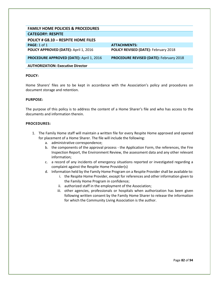| <b>FAMILY HOME POLICIES &amp; PROCEDURES</b>    |                                                |
|-------------------------------------------------|------------------------------------------------|
| <b>CATEGORY: RESPITE</b>                        |                                                |
| POLICY # G8.10 - RESPITE HOME FILES             |                                                |
| PAGE: 1 of 1                                    | <b>ATTACHMENTS:</b>                            |
| POLICY APPROVED (DATE): April 1, 2016           | POLICY REVISED (DATE): February 2018           |
| <b>PROCEDURE APPROVED (DATE): April 1, 2016</b> | <b>PROCEDURE REVISED (DATE): February 2018</b> |
| <b>AUTHORIZATION: Executive Director</b>        |                                                |

Home Sharers' files are to be kept in accordance with the Association's policy and procedures on document storage and retention.

#### **PURPOSE:**

The purpose of this policy is to address the content of a Home Sharer's file and who has access to the documents and information therein.

- 1. The Family Home staff will maintain a written file for every Respite Home approved and opened for placement of a Home Sharer. The file will include the following:
	- a. administrative correspondence;
	- b. the components of the approval process the Application Form, the references, the Fire Inspection Report, the Environment Review, the assessment data and any other relevant information;
	- c. a record of any incidents of emergency situations reported or investigated regarding a complaint against the Respite Home Provider(s)
	- d. Information held by the Family Home Program on a Respite Provider shall be available to:
		- i. the Respite Home Provider, except for references and other information given to the Family Home Program in confidence;
		- ii. authorized staff in the employment of the Association;
		- iii. other agencies, professionals or hospitals when authorization has been given following written consent by the Family Home Sharer to release the information for which the Community Living Association is the author.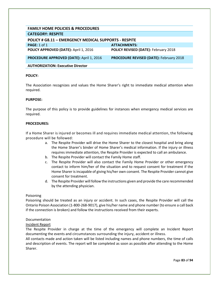| <b>FAMILY HOME POLICIES &amp; PROCEDURES</b>          |                                                |
|-------------------------------------------------------|------------------------------------------------|
| <b>CATEGORY: RESPITE</b>                              |                                                |
| POLICY # G8.11 - EMERGENCY MEDICAL SUPPORTS - RESPITE |                                                |
| PAGE: $1$ of $1$                                      | <b>ATTACHMENTS:</b>                            |
| POLICY APPROVED (DATE): April 1, 2016                 | <b>POLICY REVISED (DATE): February 2018</b>    |
| <b>PROCEDURE APPROVED (DATE): April 1, 2016</b>       | <b>PROCEDURE REVISED (DATE): February 2018</b> |
| <b>AUTHORIZATION: Executive Director</b>              |                                                |

The Association recognizes and values the Home Sharer's right to immediate medical attention when required.

#### **PURPOSE:**

The purpose of this policy is to provide guidelines for instances when emergency medical services are required.

#### **PROCEDURES:**

If a Home Sharer is injured or becomes ill and requires immediate medical attention, the following procedure will be followed:

- a. The Respite Provider will drive the Home Sharer to the closest hospital and bring along the Home Sharer's binder of Home Sharer's medical information. If the injury or illness requires immediate attention, the Respite Provider is expected to call an ambulance.
- b. The Respite Provider will contact the Family Home staff.
- c. The Respite Provider will also contact the Family Home Provider or other emergency contact to inform him/her of the situation and to request consent for treatment if the Home Sharer is incapable of giving his/her own consent. The Respite Provider cannot give consent for treatment.
- d. The Respite Provider will follow the instructions given and provide the care recommended by the attending physician.

#### Poisoning

Poisoning should be treated as an injury or accident. In such cases, the Respite Provider will call the Ontario Poison Association (1-800-268-9017), give his/her name and phone number (to ensure a call back if the connection is broken) and follow the instructions received from their experts.

#### Documentation

#### Incident Report

The Respite Provider in charge at the time of the emergency will complete an Incident Report documenting the events and circumstances surrounding the injury, accident or illness.

All contacts made and action taken will be listed including names and phone numbers, the time of calls and description of events. The report will be completed as soon as possible after attending to the Home Sharer.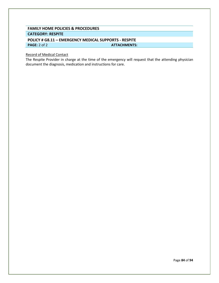# **FAMILY HOME POLICIES & PROCEDURES CATEGORY: RESPITE**

# **POLICY # G8.11 – EMERGENCY MEDICAL SUPPORTS - RESPITE PAGE:** 2 of 2 **ATTACHMENTS:**

#### Record of Medical Contact

The Respite Provider in charge at the time of the emergency will request that the attending physician document the diagnosis, medication and instructions for care.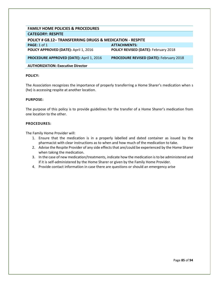| <b>FAMILY HOME POLICIES &amp; PROCEDURES</b>                         |                                                |
|----------------------------------------------------------------------|------------------------------------------------|
| <b>CATEGORY: RESPITE</b>                                             |                                                |
| <b>POLICY # G8.12- TRANSFERRING DRUGS &amp; MEDICATION - RESPITE</b> |                                                |
| <b>PAGE:</b> 1 of 1                                                  | <b>ATTACHMENTS:</b>                            |
| POLICY APPROVED (DATE): April 1, 2016                                | <b>POLICY REVISED (DATE): February 2018</b>    |
| <b>PROCEDURE APPROVED (DATE): April 1, 2016</b>                      | <b>PROCEDURE REVISED (DATE): February 2018</b> |
| <b>AUTHORIZATION: Executive Director</b>                             |                                                |

The Association recognizes the importance of properly transferring a Home Sharer's medication when s (he) is accessing respite at another location.

#### **PURPOSE:**

The purpose of this policy is to provide guidelines for the transfer of a Home Sharer's medication from one location to the other.

#### **PROCEDURES:**

The Family Home Provider will:

- 1. Ensure that the medication is in a properly labelled and dated container as issued by the pharmacist with clear instructions as to when and how much of the medication to take.
- 2. Advise the Respite Provider of any side effects that are/could be experienced by the Home Sharer when taking the medication.
- 3. In the case of new medication/treatments, indicate how the medication is to be administered and if it is self-administered by the Home Sharer or given by the Family Home Provider.
- 4. Provide contact information in case there are questions or should an emergency arise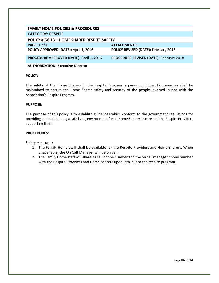| <b>FAMILY HOME POLICIES &amp; PROCEDURES</b>    |                                                |
|-------------------------------------------------|------------------------------------------------|
| <b>CATEGORY: RESPITE</b>                        |                                                |
| POLICY # G8.13 - HOME SHARER RESPITE SAFETY     |                                                |
| PAGE: $1$ of $1$                                | <b>ATTACHMENTS:</b>                            |
| POLICY APPROVED (DATE): April 1, 2016           | <b>POLICY REVISED (DATE): February 2018</b>    |
| <b>PROCEDURE APPROVED (DATE): April 1, 2016</b> | <b>PROCEDURE REVISED (DATE): February 2018</b> |
| <b>AUTHORIZATION: Executive Director</b>        |                                                |

The safety of the Home Sharers in the Respite Program is paramount. Specific measures shall be maintained to ensure the Home Sharer safety and security of the people involved in and with the Association's Respite Program.

#### **PURPOSE:**

The purpose of this policy is to establish guidelines which conform to the government regulations for providing and maintaining a safe living environment for all Home Sharers in care and the Respite Providers supporting them.

#### **PROCEDURES:**

Safety measures:

- 1. The Family Home staff shall be available for the Respite Providers and Home Sharers. When unavailable, the On Call Manager will be on call.
- 2. The Family Home staff will share its cell phone number and the on call manager phone number with the Respite Providers and Home Sharers upon intake into the respite program.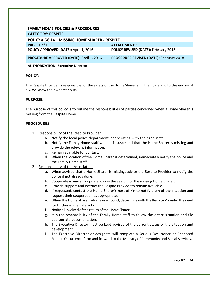| <b>FAMILY HOME POLICIES &amp; PROCEDURES</b>          |                                                |
|-------------------------------------------------------|------------------------------------------------|
| <b>CATEGORY: RESPITE</b>                              |                                                |
| <b>POLICY # G8.14 - MISSING HOME SHARER - RESPITE</b> |                                                |
| PAGE: 1 of 1                                          | <b>ATTACHMENTS:</b>                            |
| POLICY APPROVED (DATE): April 1, 2016                 | <b>POLICY REVISED (DATE): February 2018</b>    |
| <b>PROCEDURE APPROVED (DATE): April 1, 2016</b>       | <b>PROCEDURE REVISED (DATE): February 2018</b> |
| <b>AUTHORIZATION: Executive Director</b>              |                                                |

The Respite Provider is responsible for the safety of the Home Sharer(s) in their care and to this end must always know their whereabouts.

#### **PURPOSE:**

The purpose of this policy is to outline the responsibilities of parties concerned when a Home Sharer is missing from the Respite Home.

- 1. Responsibility of the Respite Provider
	- a. Notify the local police department, cooperating with their requests.
	- b. Notify the Family Home staff when it is suspected that the Home Sharer is missing and provide the relevant information.
	- c. Remain available for contact.
	- d. When the location of the Home Sharer is determined, immediately notify the police and the Family Home staff.
- 2. Responsibility of the Association
	- a. When advised that a Home Sharer is missing, advise the Respite Provider to notify the police if not already done.
	- b. Cooperate in any appropriate way in the search for the missing Home Sharer.
	- c. Provide support and instruct the Respite Provider to remain available.
	- d. If requested, contact the Home Sharer's next of kin to notify them of the situation and request their cooperation as appropriate.
	- e. When the Home Sharer returns or is found, determine with the Respite Provider the need for further immediate action.
	- f. Notify all involved of the return of the Home Sharer.
	- g. It is the responsibility of the Family Home staff to follow the entire situation and file appropriate documentation.
	- h. The Executive Director must be kept advised of the current status of the situation and development.
	- i. The Executive Director or designate will complete a Serious Occurrence or Enhanced Serious Occurrence form and forward to the Ministry of Community and Social Services.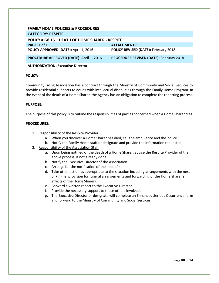| <b>FAMILY HOME POLICIES &amp; PROCEDURES</b>    |                                                |  |
|-------------------------------------------------|------------------------------------------------|--|
| <b>CATEGORY: RESPITE</b>                        |                                                |  |
| POLICY # G8.15 - DEATH OF HOME SHARER - RESPITE |                                                |  |
| PAGE: 1 of 1                                    | <b>ATTACHMENTS:</b>                            |  |
| POLICY APPROVED (DATE): April 1, 2016           | POLICY REVISED (DATE): February 2018           |  |
| <b>PROCEDURE APPROVED (DATE): April 1, 2016</b> | <b>PROCEDURE REVISED (DATE): February 2018</b> |  |
| <b>AUTHORIZATION: Executive Director</b>        |                                                |  |

Community Living Association has a contract through the Ministry of Community and Social Services to provide residential supports to adults with intellectual disabilities through the Family Home Program. In the event of the death of a Home Sharer, the Agency has an obligation to complete the reporting process.

#### **PURPOSE:**

The purpose of this policy is to outline the responsibilities of parties concerned when a Home Sharer dies.

- 1. Responsibility of the Respite Provider
	- a. When you discover a Home Sharer has died, call the ambulance and the police.
	- b. Notify the Family Home staff or designate and provide the information requested.
- 2. Responsibility of the Association Staff
	- a. Upon being notified of the death of a Home Sharer, advise the Respite Provider of the above process, if not already done.
	- b. Notify the Executive Director of the Association.
	- c. Arrange for the notification of the next of kin.
	- d. Take other action as appropriate to the situation including arrangements with the next of kin (i.e. provision for funeral arrangements and forwarding of the Home Sharer's effects of the Home Sharer).
	- e. Forward a written report to the Executive Director.
	- f. Provide the necessary support to those others involved.
	- g. The Executive Director or designate will complete an Enhanced Serious Occurrence form and forward to the Ministry of Community and Social Services.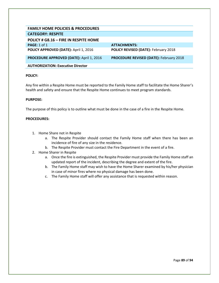| <b>FAMILY HOME POLICIES &amp; PROCEDURES</b>    |                                                |
|-------------------------------------------------|------------------------------------------------|
| <b>CATEGORY: RESPITE</b>                        |                                                |
| POLICY # G8.16 - FIRE IN RESPITE HOME           |                                                |
| PAGE: 1 of 1                                    | ATTACHMENTS:                                   |
| POLICY APPROVED (DATE): April 1, 2016           | POLICY REVISED (DATE): February 2018           |
| <b>PROCEDURE APPROVED (DATE): April 1, 2016</b> | <b>PROCEDURE REVISED (DATE): February 2018</b> |
| <b>AUTHORIZATION: Executive Director</b>        |                                                |

Any fire within a Respite Home must be reported to the Family Home staff to facilitate the Home Sharer's health and safety and ensure that the Respite Home continues to meet program standards.

#### **PURPOSE:**

The purpose of this policy is to outline what must be done in the case of a fire in the Respite Home.

- 1. Home Share not in Respite
	- a. The Respite Provider should contact the Family Home staff when there has been an incidence of fire of any size in the residence.
	- b. The Respite Provider must contact the Fire Department in the event of a fire.
- 2. Home Sharer in Respite
	- a. Once the fire is extinguished, the Respite Provider must provide the Family Home staff an updated report of the incident, describing the degree and extent of the fire.
	- b. The Family Home staff may wish to have the Home Sharer examined by his/her physician in case of minor fires where no physical damage has been done.
	- c. The Family Home staff will offer any assistance that is requested within reason.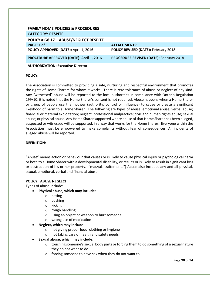| <b>FAMILY HOME POLICIES &amp; PROCEDURES</b>    |                                                |
|-------------------------------------------------|------------------------------------------------|
| <b>CATEGORY: RESPITE</b>                        |                                                |
| POLICY # G8.17 - ABUSE/NEGLECT RESPITE          |                                                |
| <b>PAGE:</b> 1 of 5                             | <b>ATTACHMENTS:</b>                            |
| POLICY APPROVED (DATE): April 1, 2016           | POLICY REVISED (DATE): February 2018           |
| <b>PROCEDURE APPROVED (DATE): April 1, 2016</b> | <b>PROCEDURE REVISED (DATE): February 2018</b> |
| <b>AUTHORIZATION: Executive Director</b>        |                                                |

The Association is committed to providing a safe, nurturing and respectful environment that promotes the rights of Home Sharers for whom it works. There is zero tolerance of abuse or neglect of any kind. Any "witnessed" abuse will be reported to the local authorities in compliance with Ontario Regulation 299/10, it is noted that the Home Sharer's consent is not required. Abuse happens when a Home Sharer or group of people use their power (authority, control or influence) to cause or create a significant likelihood of harm to a Home Sharer. The following are types of abuse: emotional abuse; verbal abuse; financial or material exploitation; neglect; professional malpractice; civic and human rights abuse; sexual abuse; or physical abuse. Any Home Sharer supported where abuse of that Home Sharer has been alleged, suspected or witnessed will be supported, in a way that works for the Home Sharer. Everyone within the Association must be empowered to make complaints without fear of consequences. All incidents of alleged abuse will be reported.

#### **DEFINITION**:

"Abuse" means action or behaviour that causes or is likely to cause physical injury or psychological harm or both to a Home Sharer with a developmental disability, or results or is likely to result in significant loss or destruction of his or her property. ("mauvais traitements") Abuse also includes any and all physical, sexual, emotional, verbal and financial abuse.

#### **POLICY: ABUSE NEGLECT**

Types of abuse include:

- **Physical abuse, which may include**:
	- o hitting
	- o pushing
	- o kicking
	- o rough handling
	- o using an object or weapon to hurt someone
	- o wrong use of medication
- **Neglect, which may include**:
	- o not giving proper food, clothing or hygiene
	- o not taking care of health and safety needs
- **Sexual abuse, which may include**:
	- $\circ$  touching someone's sexual body parts or forcing them to do something of a sexual nature they do not want to do
	- o forcing someone to have sex when they do not want to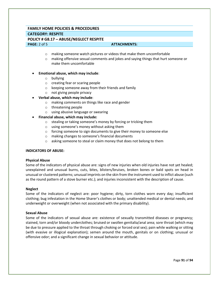# **FAMILY HOME POLICIES & PROCEDURES CATEGORY: RESPITE POLICY # G8.17 – ABUSE/NEGLECT RESPITE PAGE:** 2 of 5 **ATTACHMENTS: ATTACHMENTS:**

- o making someone watch pictures or videos that make them uncomfortable
- o making offensive sexual comments and jokes and saying things that hurt someone or make them uncomfortable

#### • **Emotional abuse, which may include**:

- o bullying
- o creating fear or scaring people
- o keeping someone away from their friends and family
- o not giving people privacy
- **Verbal abuse, which may include**:
	- o making comments on things like race and gender
	- o threatening people
	- o using abusive language or swearing
- **Financial abuse, which may include:** 
	- o stealing or taking someone's money by forcing or tricking them
	- o using someone's money without asking them
	- o forcing someone to sign documents to give their money to someone else
	- o making changes to someone's financial documents
	- o asking someone to steal or claim money that does not belong to them

#### **INDICATORS OF ABUSE:**

#### **Physical Abuse**

Some of the indicators of physical abuse are: signs of new injuries when old injuries have not yet healed; unexplained and unusual burns, cuts, bites, blisters/bruises, broken bones or bald spots on head in unusual or clustered patterns; unusual imprints on the skin from the instrument used to inflict abuse (such as the round pattern of a stove burner etc.); and injuries inconsistent with the description of cause.

#### **Neglect**

Some of the indicators of neglect are: poor hygiene; dirty, torn clothes worn every day; insufficient clothing; bug infestation in the Home Sharer's clothes or body; unattended medical or dental needs; and underweight or overweight (when not associated with the primary disability).

#### **Sexual Abuse**

Some of the indicators of sexual abuse are: existence of sexually transmitted diseases or pregnancy; stained, torn and/or bloody underclothes; bruised or swollen genitalia/anal area; sore throat (which may be due to pressure applied to the throat through choking or forced oral sex); pain while walking or sitting (with evasive or illogical explanation); semen around the mouth, genitals or on clothing; unusual or offensive odor; and a significant change in sexual behavior or attitude.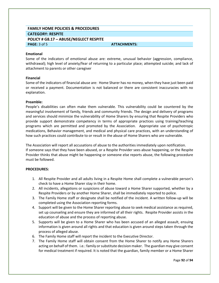# **FAMILY HOME POLICIES & PROCEDURES CATEGORY: RESPITE POLICY # G8.17 – ABUSE/NEGLECT RESPITE PAGE:** 3 of 5 **ATTACHMENTS: ATTACHMENTS:**

#### **Emotional**

Some of the indicators of emotional abuse are: extreme, unusual behavior (aggression, compliance, withdrawal); high level of anxiety/fear of returning to a particular place; attempted suicide; and lack of attachment to parents or other caregiver

#### **Financial**

Some of the indicators of financial abuse are: Home Sharer has no money, when they have just been paid or received a payment. Documentation is not balanced or there are consistent inaccuracies with no explanation.

#### **Preamble:**

People's disabilities can often make them vulnerable. This vulnerability could be countered by the meaningful involvement of family, friends and community friends. The design and delivery of programs and services should minimize the vulnerability of Home Sharers by ensuring that Respite Providers who provide support demonstrate competency in terms of appropriate practices using training/teaching programs which are permitted and promoted by the Association. Appropriate use of psychotropic medications, Behavior management, and medical and physical care practices, with an understanding of how such practices could contribute to or result in the abuse of Home Sharers who are vulnerable.

The Association will report all accusations of abuse to the authorities immediately upon notification. If someone says that they have been abused, or a Respite Provider sees abuse happening, or the Respite Provider thinks that abuse might be happening or someone else reports abuse, the following procedure must be followed.

- 1. All Respite Provider and all adults living in a Respite Home shall complete a vulnerable person's check to have a Home Sharer stay in their home.
- 2. All incidents, allegations or suspicions of abuse toward a Home Sharer supported, whether by a Respite Providers or by another Home Sharer, shall be immediately reported to police.
- 3. The Family Home staff or designate shall be notified of the incident. A written follow-up will be completed using the Association reporting forms.
- 4. Support will be given to the Home Sharer reporting abuse to seek medical assistance as required, set up counseling and ensure they are informed of all their rights. Respite Provider assists in the education of abuse and the process of reporting abuse.
- 5. Supports will be given to a Home Sharer who has been accused of an alleged assault, ensuing information is given around all rights and that education is given around steps taken through the process of alleged abuse.
- 6. The Family Home staff will report the incident to the Executive Director.
- 7. The Family Home staff will obtain consent from the Home Sharer to notify any Home Sharers acting on behalf of them. i.e.: family or substitute decision maker. The guardian may give consent for medical treatment if required. It is noted that the guardian, family member or a Home Sharer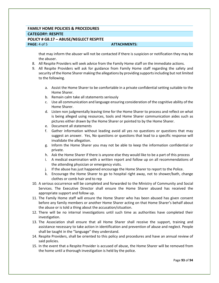# **FAMILY HOME POLICIES & PROCEDURES CATEGORY: RESPITE POLICY # G8.17 – ABUSE/NEGLECT RESPITE PAGE:** 4 of 5 **ATTACHMENTS: ATTACHMENTS:**

that may inform the abuser will not be contacted if there is suspicion or notification they may be the abuser.

- 8. All Respite Providers will seek advice from the Family Home staff on the immediate actions.
- 9. All Respite Providers will ask for guidance from Family Home staff regarding the safety and security of the Home Sharer making the allegations by providing supports including but not limited to the following.
	- a. Assist the Home Sharer to be comfortable in a private confidential setting suitable to the Home Sharer.
	- b. Remain calm take all statements seriously
	- c. Use all communication and language ensuring consideration of the cognitive ability of the Home Sharer.
	- d. Listen non judgmentally leaving time for the Home Sharer to process and reflect on what is being alleged using resources, tools and Home Sharer communication aides such as pictures either drawn by the Home Sharer or pointed to by the Home Sharer.
	- e. Document all statements
	- f. Gather information without leading avoid all yes no questions or questions that may suggest an answer. Yes, No questions or questions that lead to a specific response will invalidate the allegation.
	- g. Inform the Home Sharer you may not be able to keep the information confidential or private.
	- h. Ask the Home Sharer if there is anyone else they would like to be a part of this process
	- i. A medical examination with a written report and follow up on all recommendations of the attending physician or emergency visits.
	- j. If the abuse has just happened encourage the Home Sharer to report to the Police.
	- k. Encourage the Home Sharer to go to hospital right away, not to shower/bath, change clothes or comb hair and to rep
- 10. A serious occurrence will be completed and forwarded to the Ministry of Community and Social Services. The Executive Director shall ensure the Home Sharer abused has received the appropriate support and follow up.
- 11. The Family Home staff will ensure the Home Sharer who has been abused has given consent before any family members or another Home Sharer acting on that Home Sharer's behalf about the abuse or is told a thing about the accusation/situation.
- 12. There will be no internal investigations until such time as authorities have completed their investigation.
- 13. The Association shall ensure that all Home Sharer shall receive the support, training and assistance necessary to take action in identification and prevention of abuse and neglect. People shall be taught in the "language" they understand.
- 14. Respite Providers, shall be oriented to this policy and procedures and have an annual review of said policies.
- 15. In the event that a Respite Provider is accused of abuse, the Home Sharer will be removed from the home until a thorough investigation is held by the police.